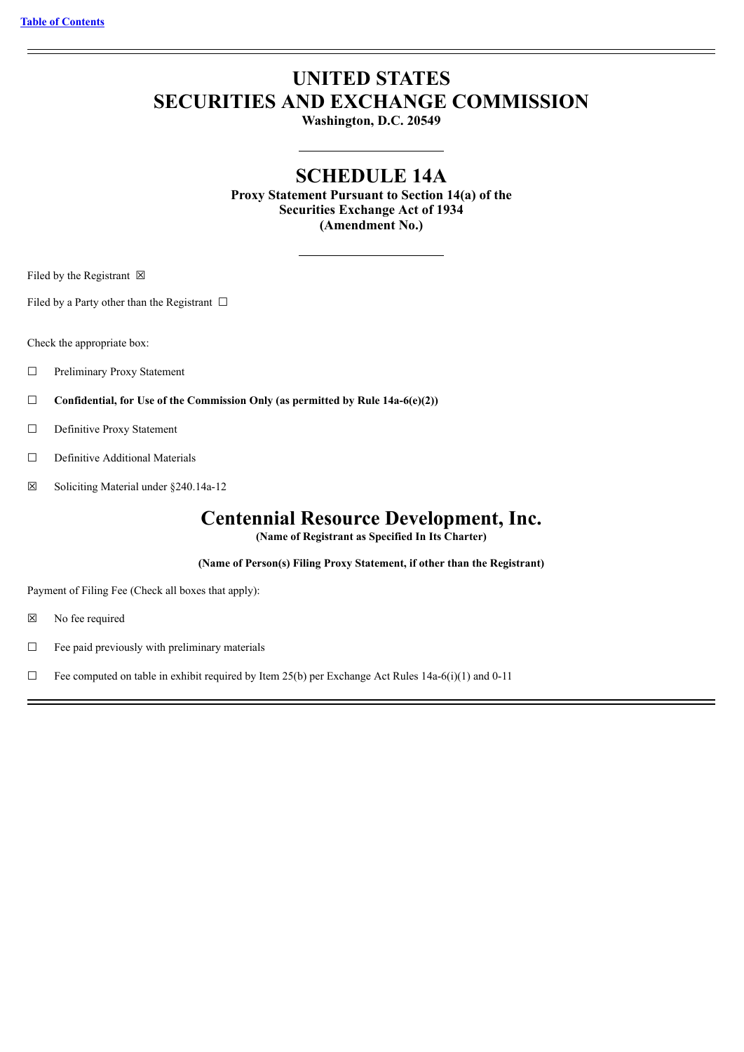# **UNITED STATES SECURITIES AND EXCHANGE COMMISSION**

**Washington, D.C. 20549**

## **SCHEDULE 14A**

**Proxy Statement Pursuant to Section 14(a) of the Securities Exchange Act of 1934 (Amendment No.)**

Filed by the Registrant  $\boxtimes$ 

Filed by a Party other than the Registrant  $\Box$ 

Check the appropriate box:

- □ Preliminary Proxy Statement
- ☐ **Confidential, for Use of the Commission Only (as permitted by Rule 14a-6(e)(2))**
- □ Definitive Proxy Statement
- ☐ Definitive Additional Materials
- ☒ Soliciting Material under §240.14a-12

## **Centennial Resource Development, Inc.**

**(Name of Registrant as Specified In Its Charter)**

**(Name of Person(s) Filing Proxy Statement, if other than the Registrant)**

Payment of Filing Fee (Check all boxes that apply):

- ☒ No fee required
- $\Box$  Fee paid previously with preliminary materials

 $\Box$  Fee computed on table in exhibit required by Item 25(b) per Exchange Act Rules 14a-6(i)(1) and 0-11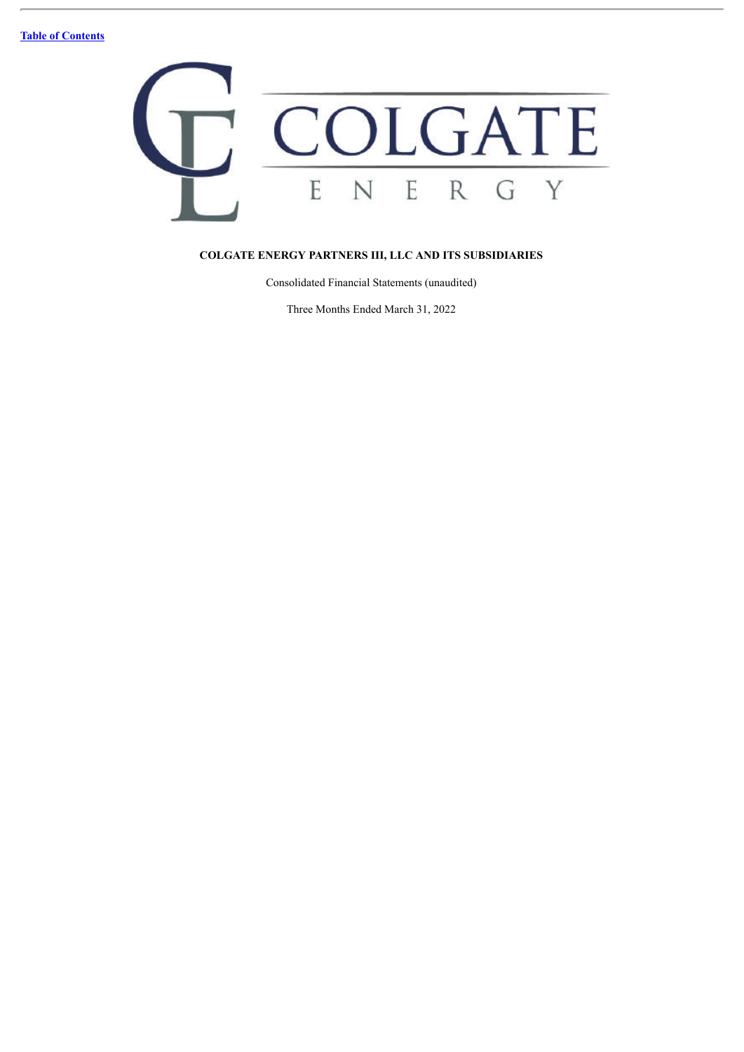

## **COLGATE ENERGY PARTNERS III, LLC AND ITS SUBSIDIARIES**

Consolidated Financial Statements (unaudited)

Three Months Ended March 31, 2022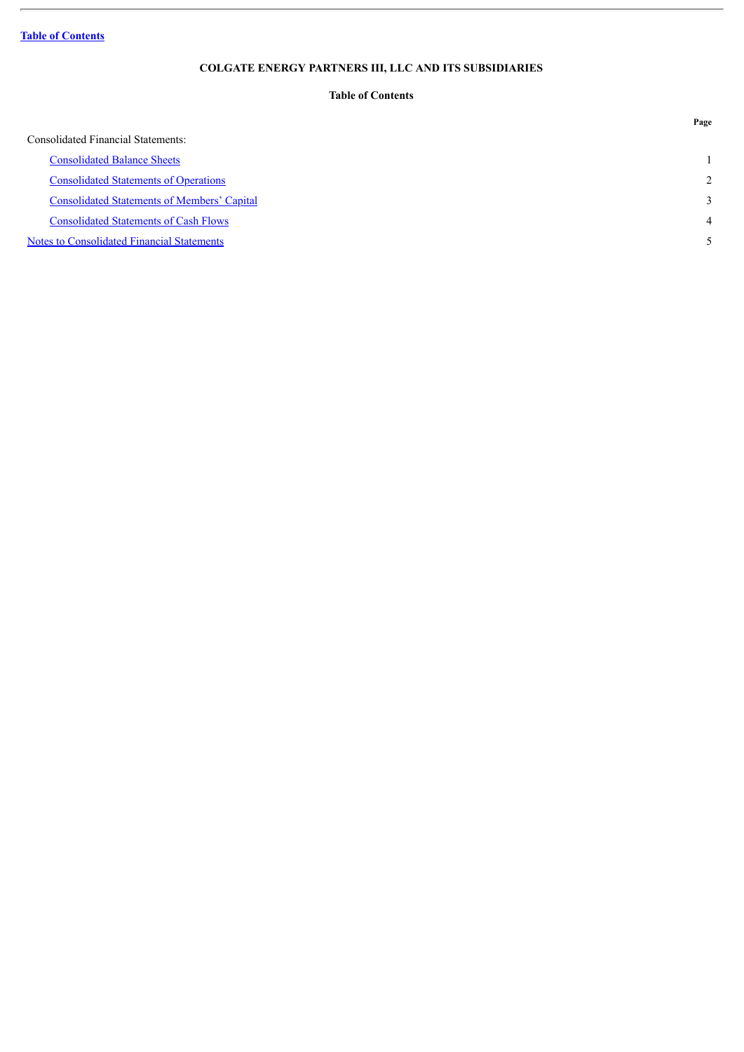**Table of [Contents](#page-2-0)**

ł.

## **COLGATE ENERGY PARTNERS III, LLC AND ITS SUBSIDIARIES**

## **Table of Contents**

<span id="page-2-0"></span>

|                                                    | Page           |
|----------------------------------------------------|----------------|
| <b>Consolidated Financial Statements:</b>          |                |
| <b>Consolidated Balance Sheets</b>                 |                |
| <b>Consolidated Statements of Operations</b>       | 2              |
| <b>Consolidated Statements of Members' Capital</b> | 3              |
| <b>Consolidated Statements of Cash Flows</b>       | $\overline{4}$ |
| Notes to Consolidated Financial Statements         |                |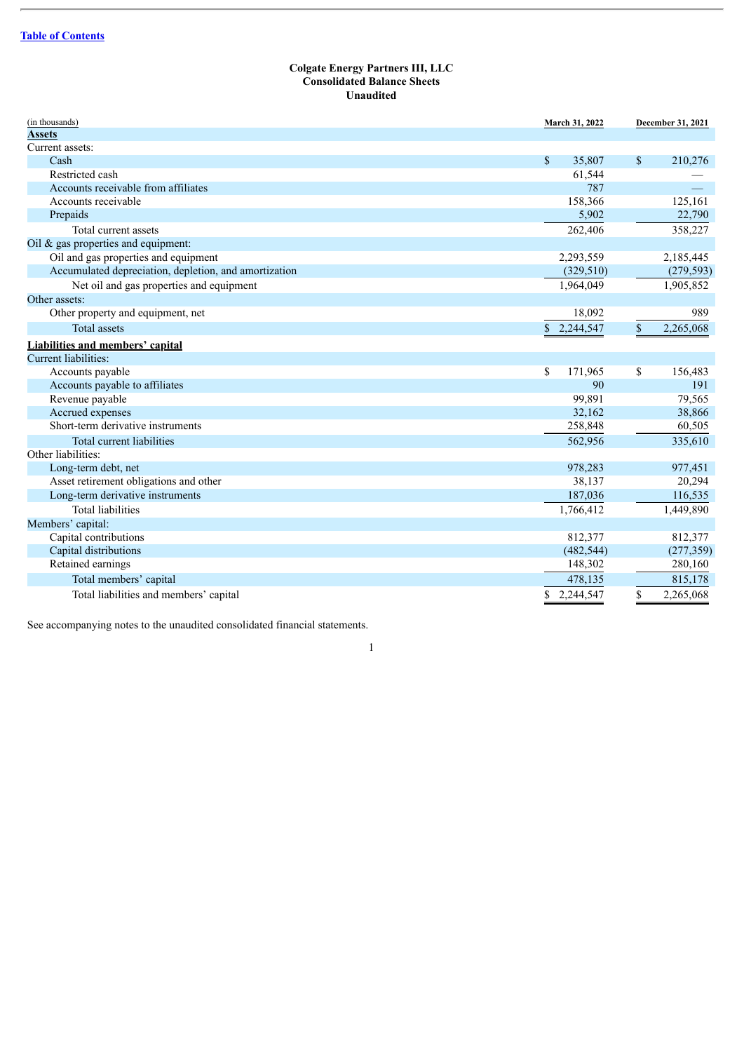#### **Colgate Energy Partners III, LLC Consolidated Balance Sheets Unaudited**

<span id="page-3-0"></span>

| (in thousands)                                        | March 31, 2022            | December 31, 2021 |
|-------------------------------------------------------|---------------------------|-------------------|
| <b>Assets</b>                                         |                           |                   |
| Current assets:                                       |                           |                   |
| Cash                                                  | \$<br>35,807              | \$<br>210,276     |
| Restricted cash                                       | 61,544                    |                   |
| Accounts receivable from affiliates                   | 787                       |                   |
| Accounts receivable                                   | 158,366                   | 125,161           |
| Prepaids                                              | 5,902                     | 22,790            |
| Total current assets                                  | 262,406                   | 358,227           |
| Oil $\&$ gas properties and equipment:                |                           |                   |
| Oil and gas properties and equipment                  | 2,293,559                 | 2,185,445         |
| Accumulated depreciation, depletion, and amortization | (329, 510)                | (279, 593)        |
| Net oil and gas properties and equipment              | 1,964,049                 | 1,905,852         |
| Other assets:                                         |                           |                   |
| Other property and equipment, net                     | 18,092                    | 989               |
| <b>Total assets</b>                                   | $\mathbb{S}$<br>2,244,547 | 2,265,068<br>\$   |
| <b>Liabilities and members' capital</b>               |                           |                   |
| Current liabilities:                                  |                           |                   |
| Accounts payable                                      | \$<br>171,965             | \$<br>156,483     |
| Accounts payable to affiliates                        | 90                        | 191               |
| Revenue payable                                       | 99,891                    | 79,565            |
| Accrued expenses                                      | 32,162                    | 38,866            |
| Short-term derivative instruments                     | 258,848                   | 60,505            |
| Total current liabilities                             | 562,956                   | 335,610           |
| Other liabilities:                                    |                           |                   |
| Long-term debt, net                                   | 978,283                   | 977,451           |
| Asset retirement obligations and other                | 38,137                    | 20,294            |
| Long-term derivative instruments                      | 187,036                   | 116,535           |
| <b>Total liabilities</b>                              | 1,766,412                 | 1,449,890         |
| Members' capital:                                     |                           |                   |
| Capital contributions                                 | 812,377                   | 812,377           |
| Capital distributions                                 | (482, 544)                | (277, 359)        |
| Retained earnings                                     | 148,302                   | 280,160           |
| Total members' capital                                | 478,135                   | 815,178           |
| Total liabilities and members' capital                | 2,244,547<br>\$           | 2,265,068<br>\$   |
|                                                       |                           |                   |

1

See accompanying notes to the unaudited consolidated financial statements.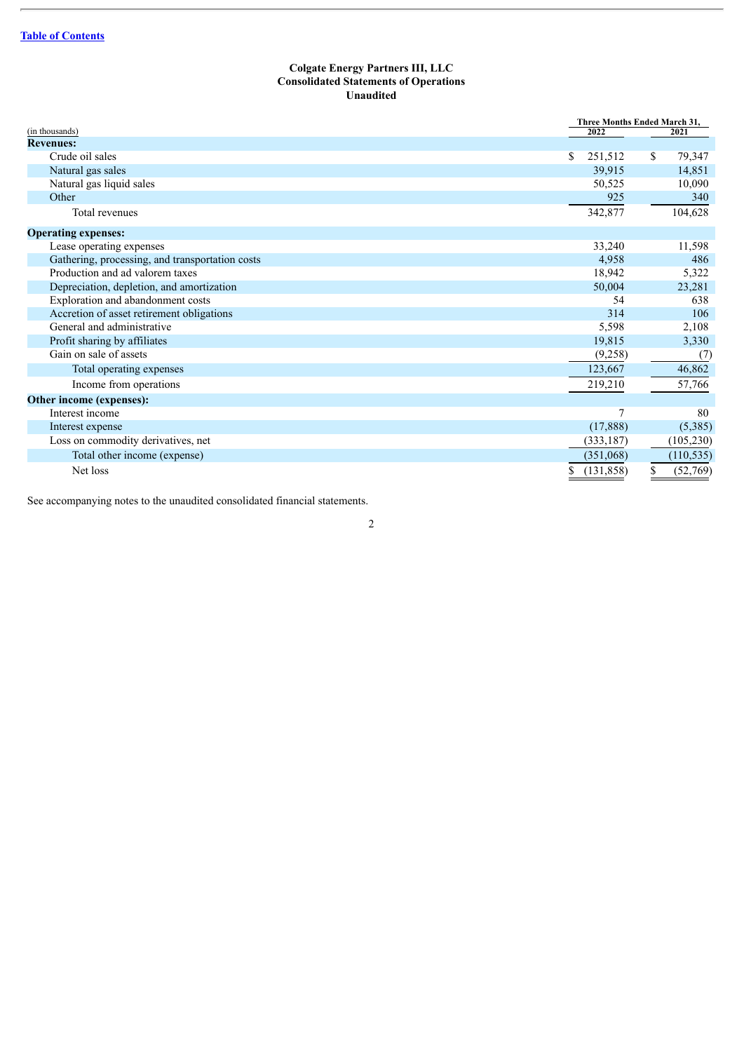## **Colgate Energy Partners III, LLC Consolidated Statements of Operations Unaudited**

<span id="page-4-0"></span>

|                                                 |                  | Three Months Ended March 31, |
|-------------------------------------------------|------------------|------------------------------|
| (in thousands)                                  | 2022             | 2021                         |
| <b>Revenues:</b>                                |                  |                              |
| Crude oil sales                                 | \$<br>251,512    | \$<br>79,347                 |
| Natural gas sales                               | 39.915           | 14,851                       |
| Natural gas liquid sales                        | 50,525           | 10,090                       |
| Other                                           | 925              | 340                          |
| Total revenues                                  | 342,877          | 104,628                      |
| <b>Operating expenses:</b>                      |                  |                              |
| Lease operating expenses                        | 33,240           | 11,598                       |
| Gathering, processing, and transportation costs | 4,958            | 486                          |
| Production and ad valorem taxes                 | 18,942           | 5,322                        |
| Depreciation, depletion, and amortization       | 50,004           | 23,281                       |
| Exploration and abandonment costs               | 54               | 638                          |
| Accretion of asset retirement obligations       | 314              | 106                          |
| General and administrative                      | 5,598            | 2,108                        |
| Profit sharing by affiliates                    | 19,815           | 3,330                        |
| Gain on sale of assets                          | (9,258)          | (7)                          |
| Total operating expenses                        | 123,667          | 46,862                       |
| Income from operations                          | 219,210          | 57,766                       |
| Other income (expenses):                        |                  |                              |
| Interest income                                 |                  | 80                           |
| Interest expense                                | (17,888)         | (5,385)                      |
| Loss on commodity derivatives, net              | (333, 187)       | (105, 230)                   |
| Total other income (expense)                    | (351,068)        | (110, 535)                   |
| Net loss                                        | \$<br>(131, 858) | \$<br>(52,769)               |

See accompanying notes to the unaudited consolidated financial statements.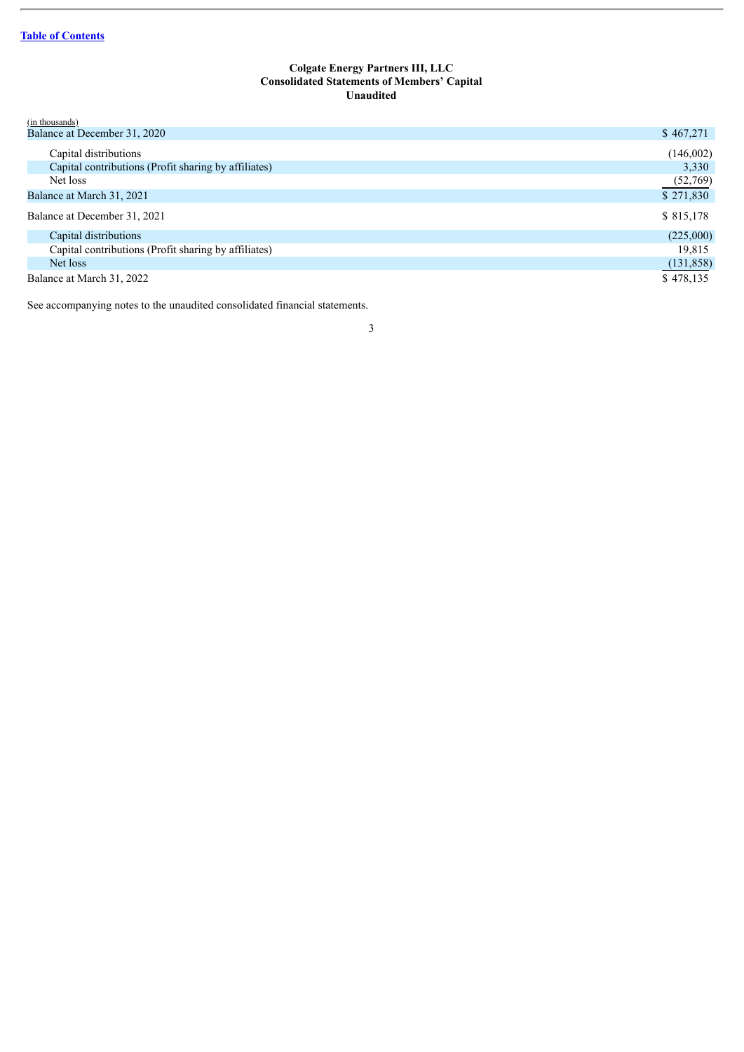## **Colgate Energy Partners III, LLC Consolidated Statements of Members' Capital Unaudited**

<span id="page-5-0"></span>

| \$467,271  |
|------------|
| (146,002)  |
| 3,330      |
| (52,769)   |
| \$271,830  |
| \$815,178  |
| (225,000)  |
| 19.815     |
| (131, 858) |
| \$478,135  |
|            |

See accompanying notes to the unaudited consolidated financial statements.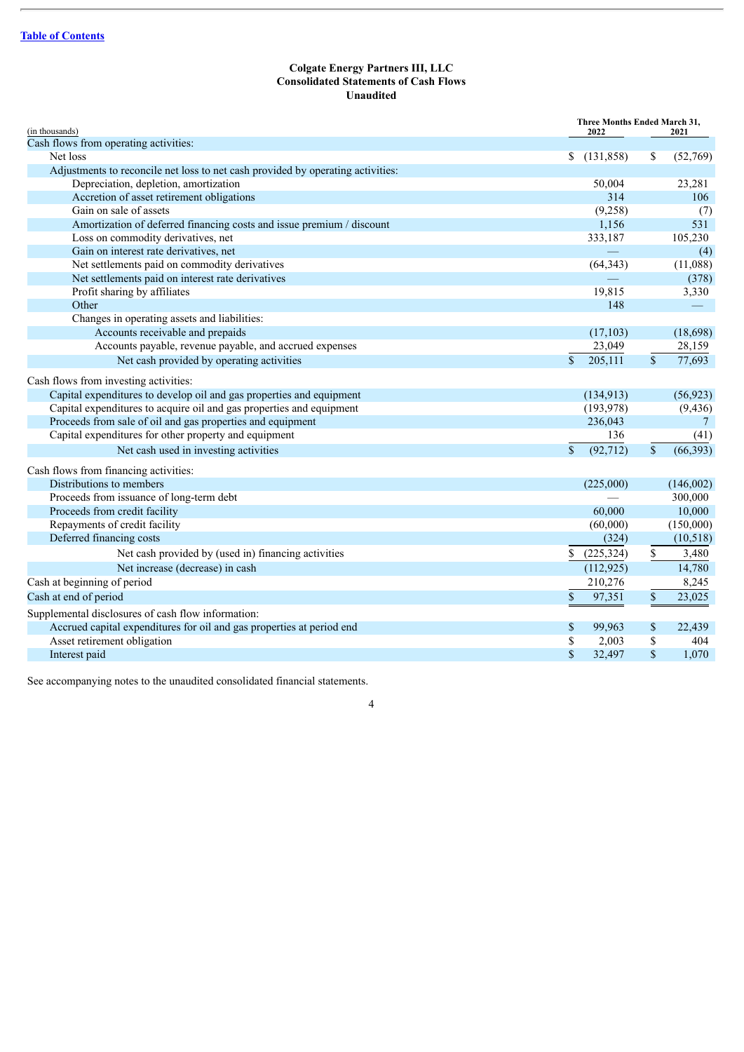## **Colgate Energy Partners III, LLC Consolidated Statements of Cash Flows Unaudited**

<span id="page-6-0"></span>

| (in thousands)                                                                  |              | Three Months Ended March 31,<br>2022 |              | 2021      |
|---------------------------------------------------------------------------------|--------------|--------------------------------------|--------------|-----------|
| Cash flows from operating activities:                                           |              |                                      |              |           |
| Net loss                                                                        |              | \$(131,858)                          | \$           | (52,769)  |
| Adjustments to reconcile net loss to net cash provided by operating activities: |              |                                      |              |           |
| Depreciation, depletion, amortization                                           |              | 50,004                               |              | 23,281    |
| Accretion of asset retirement obligations                                       |              | 314                                  |              | 106       |
| Gain on sale of assets                                                          |              | (9,258)                              |              | (7)       |
| Amortization of deferred financing costs and issue premium / discount           |              | 1,156                                |              | 531       |
| Loss on commodity derivatives, net                                              |              | 333,187                              |              | 105,230   |
| Gain on interest rate derivatives, net                                          |              |                                      |              | (4)       |
| Net settlements paid on commodity derivatives                                   |              | (64, 343)                            |              | (11,088)  |
| Net settlements paid on interest rate derivatives                               |              |                                      |              | (378)     |
| Profit sharing by affiliates                                                    |              | 19,815                               |              | 3,330     |
| Other                                                                           |              | 148                                  |              |           |
| Changes in operating assets and liabilities:                                    |              |                                      |              |           |
| Accounts receivable and prepaids                                                |              | (17, 103)                            |              | (18,698)  |
| Accounts payable, revenue payable, and accrued expenses                         |              | 23,049                               |              | 28,159    |
| Net cash provided by operating activities                                       | $\mathbf{s}$ | 205,111                              | $\mathbf S$  | 77,693    |
| Cash flows from investing activities:                                           |              |                                      |              |           |
| Capital expenditures to develop oil and gas properties and equipment            |              | (134, 913)                           |              | (56, 923) |
| Capital expenditures to acquire oil and gas properties and equipment            |              | (193, 978)                           |              | (9, 436)  |
| Proceeds from sale of oil and gas properties and equipment                      |              | 236,043                              |              | $\tau$    |
| Capital expenditures for other property and equipment                           |              | 136                                  |              | (41)      |
| Net cash used in investing activities                                           | $\mathbf S$  | (92, 712)                            | $\mathbb{S}$ | (66, 393) |
| Cash flows from financing activities:                                           |              |                                      |              |           |
| Distributions to members                                                        |              | (225,000)                            |              | (146,002) |
| Proceeds from issuance of long-term debt                                        |              |                                      |              | 300,000   |
| Proceeds from credit facility                                                   |              | 60,000                               |              | 10,000    |
| Repayments of credit facility                                                   |              | (60,000)                             |              | (150,000) |
| Deferred financing costs                                                        |              | (324)                                |              | (10, 518) |
| Net cash provided by (used in) financing activities                             | S.           | (225, 324)                           | \$           | 3,480     |
| Net increase (decrease) in cash                                                 |              | (112, 925)                           |              | 14,780    |
| Cash at beginning of period                                                     |              | 210,276                              |              | 8,245     |
| Cash at end of period                                                           | \$           | 97,351                               | \$           | 23,025    |
| Supplemental disclosures of cash flow information:                              |              |                                      |              |           |
| Accrued capital expenditures for oil and gas properties at period end           | \$           | 99,963                               | \$           | 22,439    |
| Asset retirement obligation                                                     | \$           | 2,003                                | \$           | 404       |
| Interest paid                                                                   | \$           | 32,497                               | \$           | 1,070     |

See accompanying notes to the unaudited consolidated financial statements.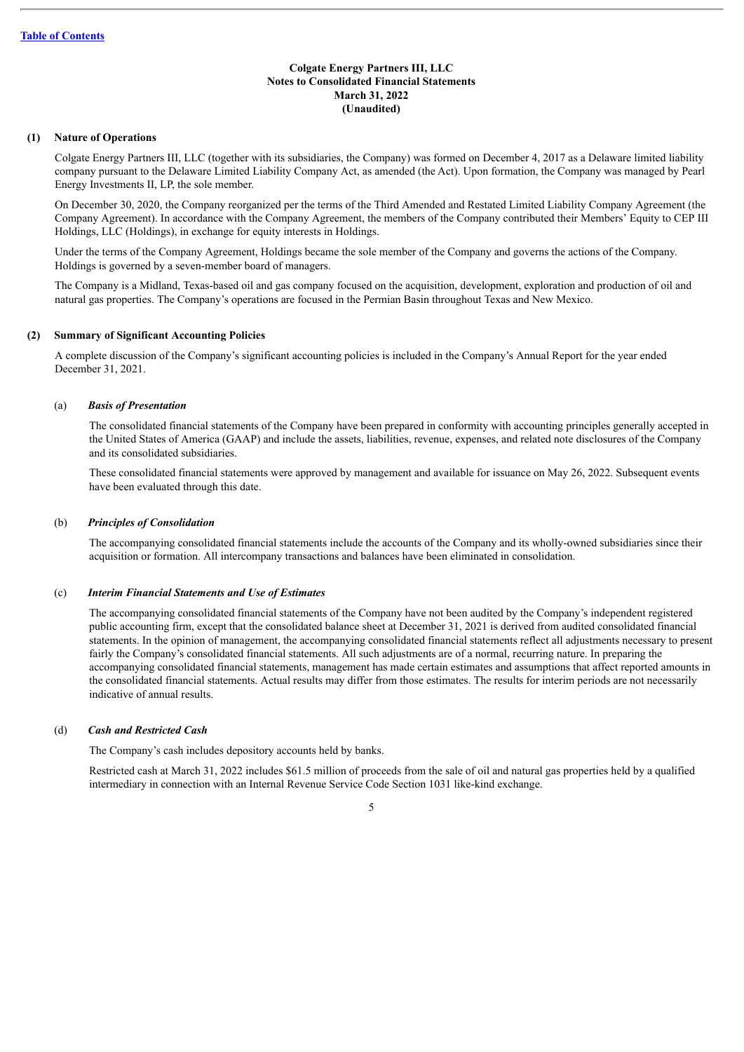## <span id="page-7-0"></span>**(1) Nature of Operations**

Colgate Energy Partners III, LLC (together with its subsidiaries, the Company) was formed on December 4, 2017 as a Delaware limited liability company pursuant to the Delaware Limited Liability Company Act, as amended (the Act). Upon formation, the Company was managed by Pearl Energy Investments II, LP, the sole member.

On December 30, 2020, the Company reorganized per the terms of the Third Amended and Restated Limited Liability Company Agreement (the Company Agreement). In accordance with the Company Agreement, the members of the Company contributed their Members' Equity to CEP III Holdings, LLC (Holdings), in exchange for equity interests in Holdings.

Under the terms of the Company Agreement, Holdings became the sole member of the Company and governs the actions of the Company. Holdings is governed by a seven-member board of managers.

The Company is a Midland, Texas-based oil and gas company focused on the acquisition, development, exploration and production of oil and natural gas properties. The Company's operations are focused in the Permian Basin throughout Texas and New Mexico.

## **(2) Summary of Significant Accounting Policies**

A complete discussion of the Company's significant accounting policies is included in the Company's Annual Report for the year ended December 31, 2021.

#### (a) *Basis of Presentation*

The consolidated financial statements of the Company have been prepared in conformity with accounting principles generally accepted in the United States of America (GAAP) and include the assets, liabilities, revenue, expenses, and related note disclosures of the Company and its consolidated subsidiaries.

These consolidated financial statements were approved by management and available for issuance on May 26, 2022. Subsequent events have been evaluated through this date.

#### (b) *Principles of Consolidation*

The accompanying consolidated financial statements include the accounts of the Company and its wholly-owned subsidiaries since their acquisition or formation. All intercompany transactions and balances have been eliminated in consolidation.

## (c) *Interim Financial Statements and Use of Estimates*

The accompanying consolidated financial statements of the Company have not been audited by the Company's independent registered public accounting firm, except that the consolidated balance sheet at December 31, 2021 is derived from audited consolidated financial statements. In the opinion of management, the accompanying consolidated financial statements reflect all adjustments necessary to present fairly the Company's consolidated financial statements. All such adjustments are of a normal, recurring nature. In preparing the accompanying consolidated financial statements, management has made certain estimates and assumptions that affect reported amounts in the consolidated financial statements. Actual results may differ from those estimates. The results for interim periods are not necessarily indicative of annual results.

## (d) *Cash and Restricted Cash*

The Company's cash includes depository accounts held by banks.

Restricted cash at March 31, 2022 includes \$61.5 million of proceeds from the sale of oil and natural gas properties held by a qualified intermediary in connection with an Internal Revenue Service Code Section 1031 like-kind exchange.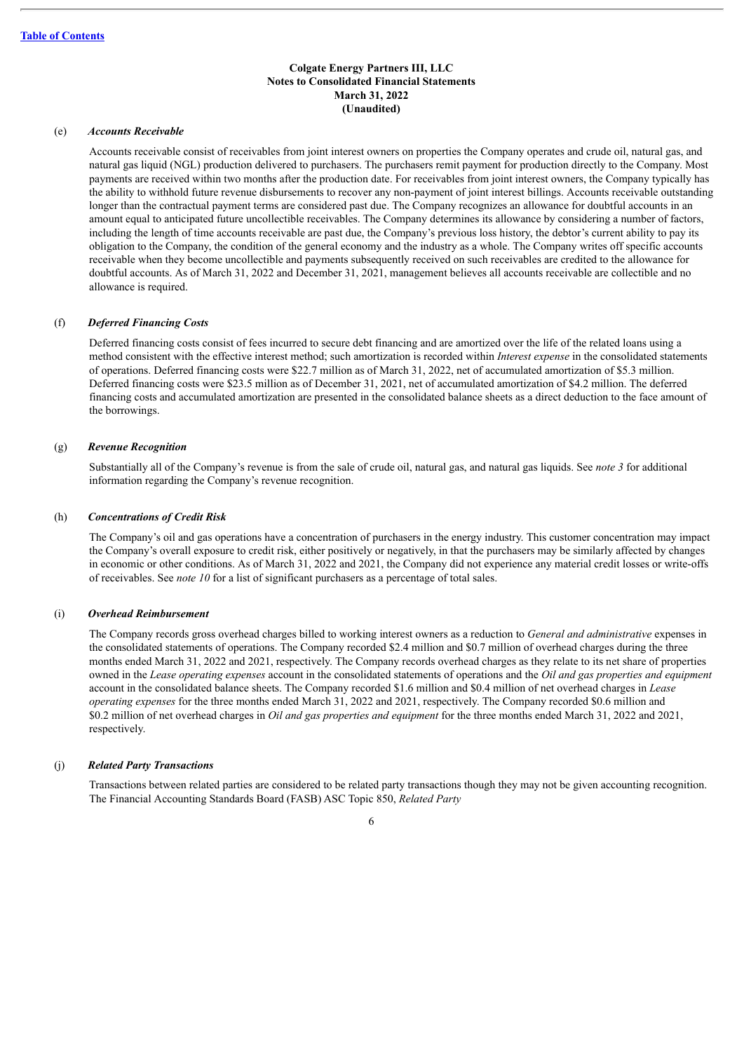## (e) *Accounts Receivable*

Accounts receivable consist of receivables from joint interest owners on properties the Company operates and crude oil, natural gas, and natural gas liquid (NGL) production delivered to purchasers. The purchasers remit payment for production directly to the Company. Most payments are received within two months after the production date. For receivables from joint interest owners, the Company typically has the ability to withhold future revenue disbursements to recover any non-payment of joint interest billings. Accounts receivable outstanding longer than the contractual payment terms are considered past due. The Company recognizes an allowance for doubtful accounts in an amount equal to anticipated future uncollectible receivables. The Company determines its allowance by considering a number of factors, including the length of time accounts receivable are past due, the Company's previous loss history, the debtor's current ability to pay its obligation to the Company, the condition of the general economy and the industry as a whole. The Company writes off specific accounts receivable when they become uncollectible and payments subsequently received on such receivables are credited to the allowance for doubtful accounts. As of March 31, 2022 and December 31, 2021, management believes all accounts receivable are collectible and no allowance is required.

#### (f) *Deferred Financing Costs*

Deferred financing costs consist of fees incurred to secure debt financing and are amortized over the life of the related loans using a method consistent with the effective interest method; such amortization is recorded within *Interest expense* in the consolidated statements of operations. Deferred financing costs were \$22.7 million as of March 31, 2022, net of accumulated amortization of \$5.3 million. Deferred financing costs were \$23.5 million as of December 31, 2021, net of accumulated amortization of \$4.2 million. The deferred financing costs and accumulated amortization are presented in the consolidated balance sheets as a direct deduction to the face amount of the borrowings.

#### (g) *Revenue Recognition*

Substantially all of the Company's revenue is from the sale of crude oil, natural gas, and natural gas liquids. See *note 3* for additional information regarding the Company's revenue recognition.

#### (h) *Concentrations of Credit Risk*

The Company's oil and gas operations have a concentration of purchasers in the energy industry. This customer concentration may impact the Company's overall exposure to credit risk, either positively or negatively, in that the purchasers may be similarly affected by changes in economic or other conditions. As of March 31, 2022 and 2021, the Company did not experience any material credit losses or write-offs of receivables. See *note 10* for a list of significant purchasers as a percentage of total sales.

#### (i) *Overhead Reimbursement*

The Company records gross overhead charges billed to working interest owners as a reduction to *General and administrative* expenses in the consolidated statements of operations. The Company recorded \$2.4 million and \$0.7 million of overhead charges during the three months ended March 31, 2022 and 2021, respectively. The Company records overhead charges as they relate to its net share of properties owned in the *Lease operating expenses* account in the consolidated statements of operations and the *Oil and gas properties and equipment* account in the consolidated balance sheets. The Company recorded \$1.6 million and \$0.4 million of net overhead charges in *Lease operating expenses* for the three months ended March 31, 2022 and 2021, respectively. The Company recorded \$0.6 million and \$0.2 million of net overhead charges in *Oil and gas properties and equipment* for the three months ended March 31, 2022 and 2021, respectively.

#### (j) *Related Party Transactions*

Transactions between related parties are considered to be related party transactions though they may not be given accounting recognition. The Financial Accounting Standards Board (FASB) ASC Topic 850, *Related Party*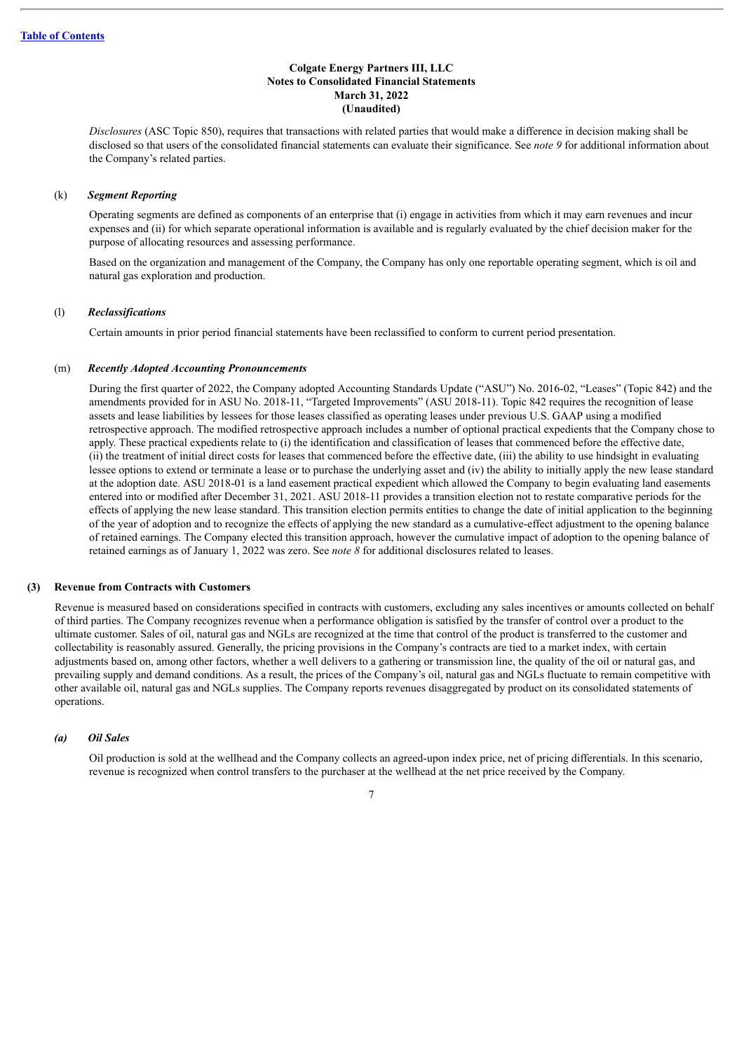*Disclosures* (ASC Topic 850), requires that transactions with related parties that would make a difference in decision making shall be disclosed so that users of the consolidated financial statements can evaluate their significance. See *note 9* for additional information about the Company's related parties.

#### (k) *Segment Reporting*

Operating segments are defined as components of an enterprise that (i) engage in activities from which it may earn revenues and incur expenses and (ii) for which separate operational information is available and is regularly evaluated by the chief decision maker for the purpose of allocating resources and assessing performance.

Based on the organization and management of the Company, the Company has only one reportable operating segment, which is oil and natural gas exploration and production.

#### (l) *Reclassifications*

Certain amounts in prior period financial statements have been reclassified to conform to current period presentation.

#### (m) *Recently Adopted Accounting Pronouncements*

During the first quarter of 2022, the Company adopted Accounting Standards Update ("ASU") No. 2016-02, "Leases" (Topic 842) and the amendments provided for in ASU No. 2018-11, "Targeted Improvements" (ASU 2018-11). Topic 842 requires the recognition of lease assets and lease liabilities by lessees for those leases classified as operating leases under previous U.S. GAAP using a modified retrospective approach. The modified retrospective approach includes a number of optional practical expedients that the Company chose to apply. These practical expedients relate to (i) the identification and classification of leases that commenced before the effective date, (ii) the treatment of initial direct costs for leases that commenced before the effective date, (iii) the ability to use hindsight in evaluating lessee options to extend or terminate a lease or to purchase the underlying asset and (iv) the ability to initially apply the new lease standard at the adoption date. ASU 2018-01 is a land easement practical expedient which allowed the Company to begin evaluating land easements entered into or modified after December 31, 2021. ASU 2018-11 provides a transition election not to restate comparative periods for the effects of applying the new lease standard. This transition election permits entities to change the date of initial application to the beginning of the year of adoption and to recognize the effects of applying the new standard as a cumulative-effect adjustment to the opening balance of retained earnings. The Company elected this transition approach, however the cumulative impact of adoption to the opening balance of retained earnings as of January 1, 2022 was zero. See *note 8* for additional disclosures related to leases.

## **(3) Revenue from Contracts with Customers**

Revenue is measured based on considerations specified in contracts with customers, excluding any sales incentives or amounts collected on behalf of third parties. The Company recognizes revenue when a performance obligation is satisfied by the transfer of control over a product to the ultimate customer. Sales of oil, natural gas and NGLs are recognized at the time that control of the product is transferred to the customer and collectability is reasonably assured. Generally, the pricing provisions in the Company's contracts are tied to a market index, with certain adjustments based on, among other factors, whether a well delivers to a gathering or transmission line, the quality of the oil or natural gas, and prevailing supply and demand conditions. As a result, the prices of the Company's oil, natural gas and NGLs fluctuate to remain competitive with other available oil, natural gas and NGLs supplies. The Company reports revenues disaggregated by product on its consolidated statements of operations.

#### *(a) Oil Sales*

Oil production is sold at the wellhead and the Company collects an agreed-upon index price, net of pricing differentials. In this scenario, revenue is recognized when control transfers to the purchaser at the wellhead at the net price received by the Company.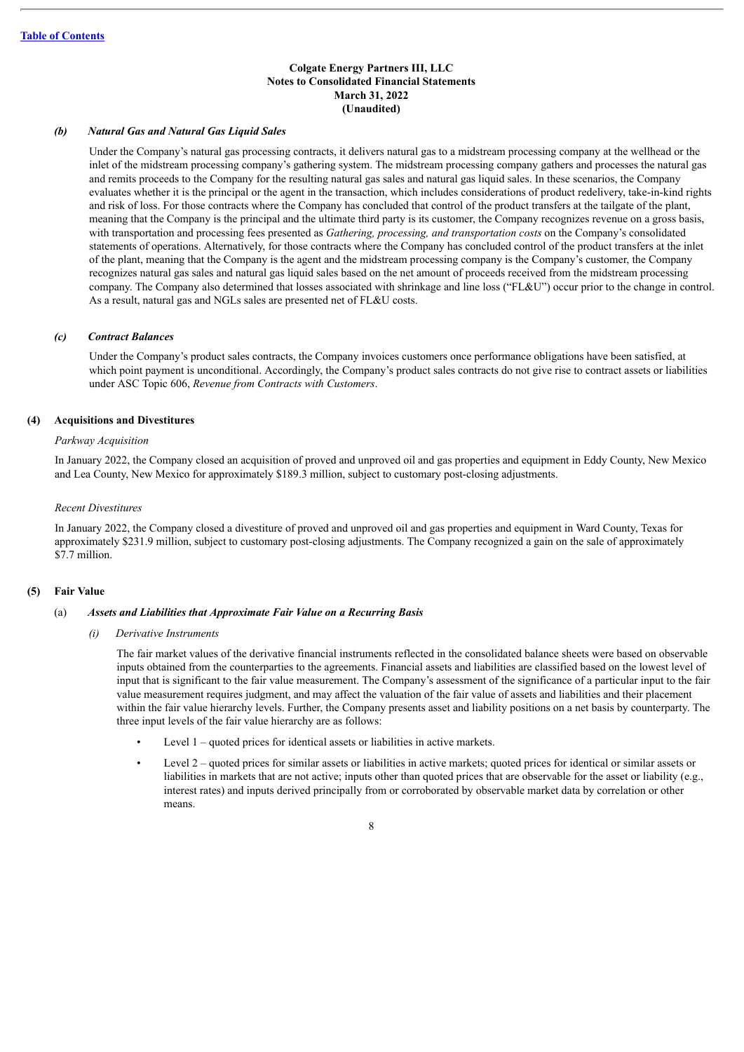#### *(b) Natural Gas and Natural Gas Liquid Sales*

Under the Company's natural gas processing contracts, it delivers natural gas to a midstream processing company at the wellhead or the inlet of the midstream processing company's gathering system. The midstream processing company gathers and processes the natural gas and remits proceeds to the Company for the resulting natural gas sales and natural gas liquid sales. In these scenarios, the Company evaluates whether it is the principal or the agent in the transaction, which includes considerations of product redelivery, take-in-kind rights and risk of loss. For those contracts where the Company has concluded that control of the product transfers at the tailgate of the plant, meaning that the Company is the principal and the ultimate third party is its customer, the Company recognizes revenue on a gross basis, with transportation and processing fees presented as *Gathering, processing, and transportation costs* on the Company's consolidated statements of operations. Alternatively, for those contracts where the Company has concluded control of the product transfers at the inlet of the plant, meaning that the Company is the agent and the midstream processing company is the Company's customer, the Company recognizes natural gas sales and natural gas liquid sales based on the net amount of proceeds received from the midstream processing company. The Company also determined that losses associated with shrinkage and line loss ("FL&U") occur prior to the change in control. As a result, natural gas and NGLs sales are presented net of FL&U costs.

#### *(c) Contract Balances*

Under the Company's product sales contracts, the Company invoices customers once performance obligations have been satisfied, at which point payment is unconditional. Accordingly, the Company's product sales contracts do not give rise to contract assets or liabilities under ASC Topic 606, *Revenue from Contracts with Customers*.

#### **(4) Acquisitions and Divestitures**

#### *Parkway Acquisition*

In January 2022, the Company closed an acquisition of proved and unproved oil and gas properties and equipment in Eddy County, New Mexico and Lea County, New Mexico for approximately \$189.3 million, subject to customary post-closing adjustments.

#### *Recent Divestitures*

In January 2022, the Company closed a divestiture of proved and unproved oil and gas properties and equipment in Ward County, Texas for approximately \$231.9 million, subject to customary post-closing adjustments. The Company recognized a gain on the sale of approximately \$7.7 million.

## **(5) Fair Value**

#### (a) *Assets and Liabilities that Approximate Fair Value on a Recurring Basis*

*(i) Derivative Instruments*

The fair market values of the derivative financial instruments reflected in the consolidated balance sheets were based on observable inputs obtained from the counterparties to the agreements. Financial assets and liabilities are classified based on the lowest level of input that is significant to the fair value measurement. The Company's assessment of the significance of a particular input to the fair value measurement requires judgment, and may affect the valuation of the fair value of assets and liabilities and their placement within the fair value hierarchy levels. Further, the Company presents asset and liability positions on a net basis by counterparty. The three input levels of the fair value hierarchy are as follows:

- Level 1 quoted prices for identical assets or liabilities in active markets.
- Level 2 quoted prices for similar assets or liabilities in active markets; quoted prices for identical or similar assets or liabilities in markets that are not active; inputs other than quoted prices that are observable for the asset or liability (e.g., interest rates) and inputs derived principally from or corroborated by observable market data by correlation or other means.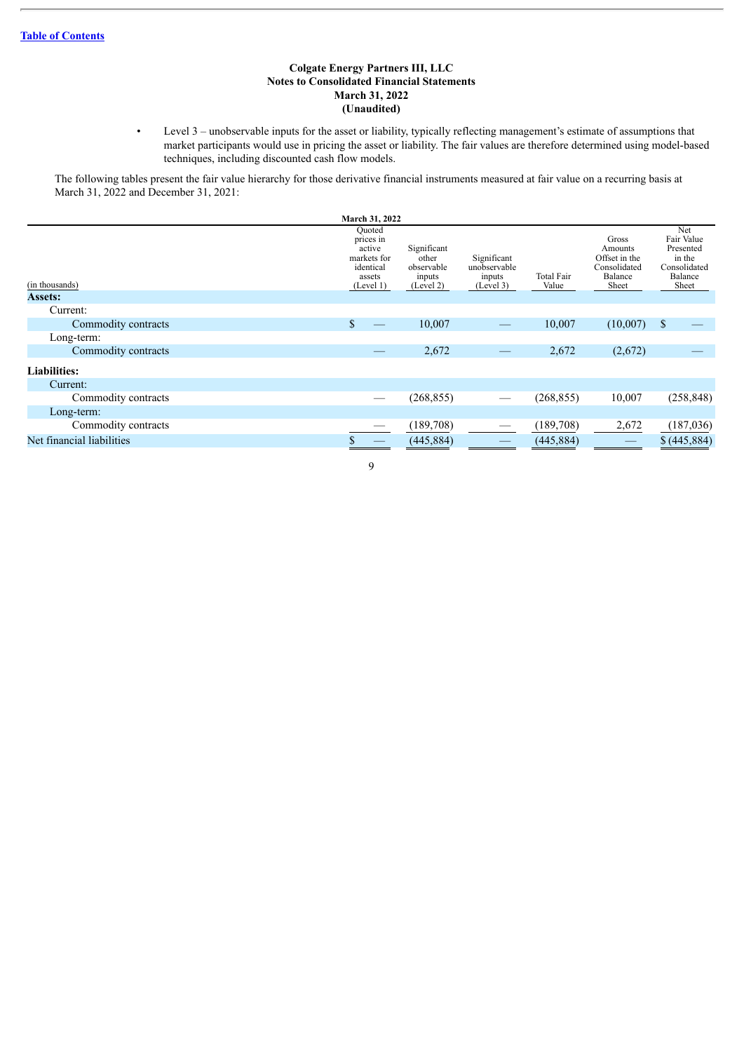• Level 3 – unobservable inputs for the asset or liability, typically reflecting management's estimate of assumptions that market participants would use in pricing the asset or liability. The fair values are therefore determined using model-based techniques, including discounted cash flow models.

The following tables present the fair value hierarchy for those derivative financial instruments measured at fair value on a recurring basis at March 31, 2022 and December 31, 2021:

|                           | March 31, 2022                                                                   |                                                           |                                                    |                     |                                                                       |                                                                              |
|---------------------------|----------------------------------------------------------------------------------|-----------------------------------------------------------|----------------------------------------------------|---------------------|-----------------------------------------------------------------------|------------------------------------------------------------------------------|
| (in thousands)            | Quoted<br>prices in<br>active<br>markets for<br>identical<br>assets<br>(Level 1) | Significant<br>other<br>observable<br>inputs<br>(Level 2) | Significant<br>unobservable<br>inputs<br>(Level 3) | Total Fair<br>Value | Gross<br>Amounts<br>Offset in the<br>Consolidated<br>Balance<br>Sheet | Net<br>Fair Value<br>Presented<br>in the<br>Consolidated<br>Balance<br>Sheet |
| <b>Assets:</b>            |                                                                                  |                                                           |                                                    |                     |                                                                       |                                                                              |
| Current:                  |                                                                                  |                                                           |                                                    |                     |                                                                       |                                                                              |
| Commodity contracts       | $\mathbb{S}$                                                                     | 10,007                                                    | $\hspace{0.05cm}$                                  | 10,007              | (10,007)                                                              | $\mathbf{s}$                                                                 |
| Long-term:                |                                                                                  |                                                           |                                                    |                     |                                                                       |                                                                              |
| Commodity contracts       |                                                                                  | 2,672                                                     |                                                    | 2,672               | (2,672)                                                               |                                                                              |
| <b>Liabilities:</b>       |                                                                                  |                                                           |                                                    |                     |                                                                       |                                                                              |
| Current:                  |                                                                                  |                                                           |                                                    |                     |                                                                       |                                                                              |
| Commodity contracts       |                                                                                  | (268, 855)                                                |                                                    | (268, 855)          | 10,007                                                                | (258, 848)                                                                   |
| Long-term:                |                                                                                  |                                                           |                                                    |                     |                                                                       |                                                                              |
| Commodity contracts       |                                                                                  | (189,708)                                                 |                                                    | (189,708)           | 2,672                                                                 | (187, 036)                                                                   |
| Net financial liabilities |                                                                                  | (445, 884)                                                |                                                    | (445, 884)          |                                                                       | \$ (445,884)                                                                 |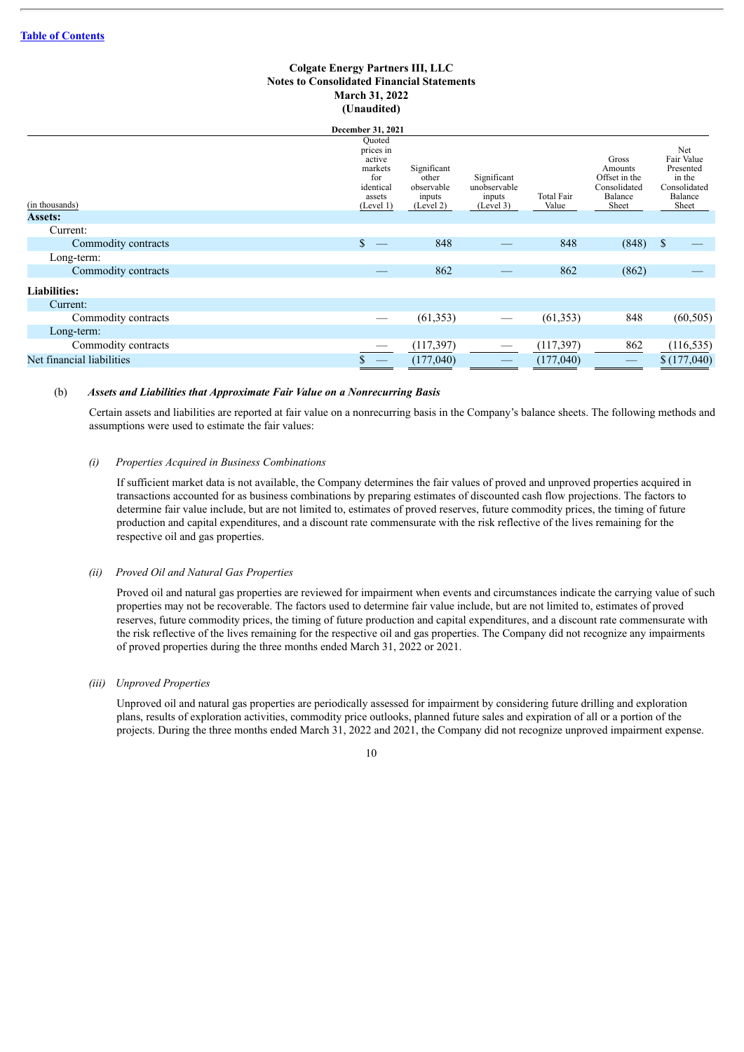|                                  | December 31, 2021                                                                   |                                                           |                                                    |                            |                                                                       |                                                                              |
|----------------------------------|-------------------------------------------------------------------------------------|-----------------------------------------------------------|----------------------------------------------------|----------------------------|-----------------------------------------------------------------------|------------------------------------------------------------------------------|
| (in thousands)<br><b>Assets:</b> | Quoted<br>prices in<br>active<br>markets<br>for<br>identical<br>assets<br>(Level 1) | Significant<br>other<br>observable<br>inputs<br>(Level 2) | Significant<br>unobservable<br>inputs<br>(Level 3) | <b>Total Fair</b><br>Value | Gross<br>Amounts<br>Offset in the<br>Consolidated<br>Balance<br>Sheet | Net<br>Fair Value<br>Presented<br>in the<br>Consolidated<br>Balance<br>Sheet |
| Current:                         |                                                                                     |                                                           |                                                    |                            |                                                                       |                                                                              |
| Commodity contracts              | \$                                                                                  | 848                                                       |                                                    | 848                        | (848)                                                                 | S                                                                            |
| Long-term:                       |                                                                                     |                                                           |                                                    |                            |                                                                       |                                                                              |
| Commodity contracts              |                                                                                     | 862                                                       |                                                    | 862                        | (862)                                                                 |                                                                              |
| <b>Liabilities:</b>              |                                                                                     |                                                           |                                                    |                            |                                                                       |                                                                              |
| Current:                         |                                                                                     |                                                           |                                                    |                            |                                                                       |                                                                              |
| Commodity contracts              |                                                                                     | (61, 353)                                                 |                                                    | (61, 353)                  | 848                                                                   | (60, 505)                                                                    |
| Long-term:                       |                                                                                     |                                                           |                                                    |                            |                                                                       |                                                                              |
| Commodity contracts              |                                                                                     | (117,397)                                                 | $\hspace{0.05cm}$                                  | (117, 397)                 | 862                                                                   | (116, 535)                                                                   |
| Net financial liabilities        | P                                                                                   | (177,040)                                                 |                                                    | (177,040)                  |                                                                       | \$(177,040)                                                                  |

#### (b) *Assets and Liabilities that Approximate Fair Value on a Nonrecurring Basis*

Certain assets and liabilities are reported at fair value on a nonrecurring basis in the Company's balance sheets. The following methods and assumptions were used to estimate the fair values:

#### *(i) Properties Acquired in Business Combinations*

If sufficient market data is not available, the Company determines the fair values of proved and unproved properties acquired in transactions accounted for as business combinations by preparing estimates of discounted cash flow projections. The factors to determine fair value include, but are not limited to, estimates of proved reserves, future commodity prices, the timing of future production and capital expenditures, and a discount rate commensurate with the risk reflective of the lives remaining for the respective oil and gas properties.

#### *(ii) Proved Oil and Natural Gas Properties*

Proved oil and natural gas properties are reviewed for impairment when events and circumstances indicate the carrying value of such properties may not be recoverable. The factors used to determine fair value include, but are not limited to, estimates of proved reserves, future commodity prices, the timing of future production and capital expenditures, and a discount rate commensurate with the risk reflective of the lives remaining for the respective oil and gas properties. The Company did not recognize any impairments of proved properties during the three months ended March 31, 2022 or 2021.

#### *(iii) Unproved Properties*

Unproved oil and natural gas properties are periodically assessed for impairment by considering future drilling and exploration plans, results of exploration activities, commodity price outlooks, planned future sales and expiration of all or a portion of the projects. During the three months ended March 31, 2022 and 2021, the Company did not recognize unproved impairment expense.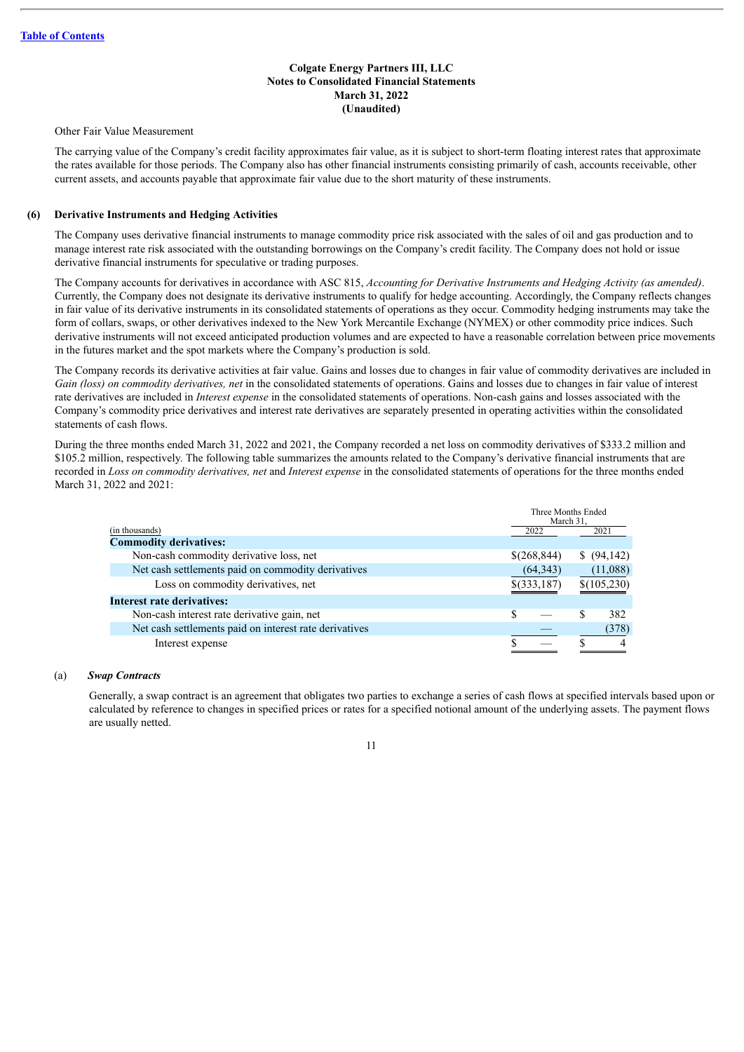Other Fair Value Measurement

The carrying value of the Company's credit facility approximates fair value, as it is subject to short-term floating interest rates that approximate the rates available for those periods. The Company also has other financial instruments consisting primarily of cash, accounts receivable, other current assets, and accounts payable that approximate fair value due to the short maturity of these instruments.

## **(6) Derivative Instruments and Hedging Activities**

The Company uses derivative financial instruments to manage commodity price risk associated with the sales of oil and gas production and to manage interest rate risk associated with the outstanding borrowings on the Company's credit facility. The Company does not hold or issue derivative financial instruments for speculative or trading purposes.

The Company accounts for derivatives in accordance with ASC 815, *Accounting for Derivative Instruments and Hedging Activity (as amended)*. Currently, the Company does not designate its derivative instruments to qualify for hedge accounting. Accordingly, the Company reflects changes in fair value of its derivative instruments in its consolidated statements of operations as they occur. Commodity hedging instruments may take the form of collars, swaps, or other derivatives indexed to the New York Mercantile Exchange (NYMEX) or other commodity price indices. Such derivative instruments will not exceed anticipated production volumes and are expected to have a reasonable correlation between price movements in the futures market and the spot markets where the Company's production is sold.

The Company records its derivative activities at fair value. Gains and losses due to changes in fair value of commodity derivatives are included in *Gain (loss) on commodity derivatives, net* in the consolidated statements of operations. Gains and losses due to changes in fair value of interest rate derivatives are included in *Interest expense* in the consolidated statements of operations. Non-cash gains and losses associated with the Company's commodity price derivatives and interest rate derivatives are separately presented in operating activities within the consolidated statements of cash flows.

During the three months ended March 31, 2022 and 2021, the Company recorded a net loss on commodity derivatives of \$333.2 million and \$105.2 million, respectively. The following table summarizes the amounts related to the Company's derivative financial instruments that are recorded in *Loss on commodity derivatives, net* and *Interest expense* in the consolidated statements of operations for the three months ended March 31, 2022 and 2021:

|                                                        | Three Months Ended<br>March 31. |              |   |             |
|--------------------------------------------------------|---------------------------------|--------------|---|-------------|
| (in thousands)                                         |                                 | 2022         |   | 2021        |
| <b>Commodity derivatives:</b>                          |                                 |              |   |             |
| Non-cash commodity derivative loss, net                |                                 | \$(268, 844) |   | \$ (94,142) |
| Net cash settlements paid on commodity derivatives     |                                 | (64, 343)    |   | (11,088)    |
| Loss on commodity derivatives, net                     |                                 | \$(333,187)  |   | \$(105,230) |
| Interest rate derivatives:                             |                                 |              |   |             |
| Non-cash interest rate derivative gain, net            | S                               |              | S | 382         |
| Net cash settlements paid on interest rate derivatives |                                 |              |   | (378)       |
| Interest expense                                       |                                 |              |   | 4           |

#### (a) *Swap Contracts*

Generally, a swap contract is an agreement that obligates two parties to exchange a series of cash flows at specified intervals based upon or calculated by reference to changes in specified prices or rates for a specified notional amount of the underlying assets. The payment flows are usually netted.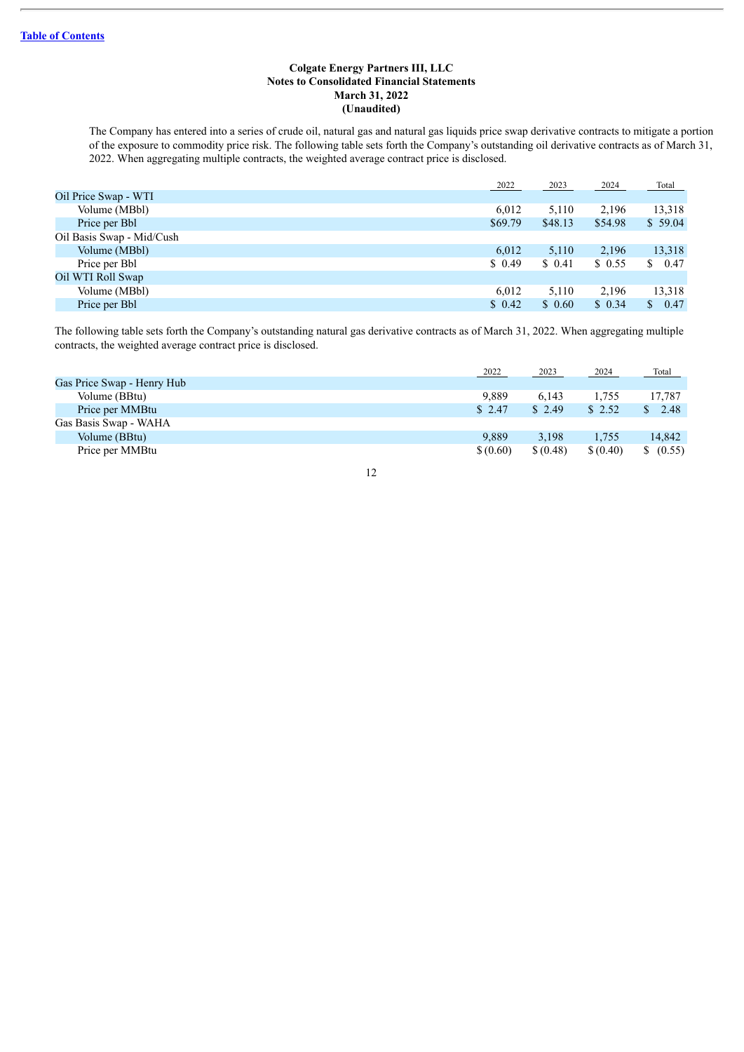The Company has entered into a series of crude oil, natural gas and natural gas liquids price swap derivative contracts to mitigate a portion of the exposure to commodity price risk. The following table sets forth the Company's outstanding oil derivative contracts as of March 31, 2022. When aggregating multiple contracts, the weighted average contract price is disclosed.

|                           | 2022    | 2023    | 2024    | Total      |
|---------------------------|---------|---------|---------|------------|
| Oil Price Swap - WTI      |         |         |         |            |
| Volume (MBbl)             | 6.012   | 5,110   | 2,196   | 13,318     |
| Price per Bbl             | \$69.79 | \$48.13 | \$54.98 | \$59.04    |
| Oil Basis Swap - Mid/Cush |         |         |         |            |
| Volume (MBbl)             | 6,012   | 5,110   | 2,196   | 13,318     |
| Price per Bbl             | \$0.49  | \$ 0.41 | \$0.55  | 0.47<br>S. |
| Oil WTI Roll Swap         |         |         |         |            |
| Volume (MBbl)             | 6,012   | 5,110   | 2,196   | 13,318     |
| Price per Bbl             | \$0.42  | \$0.60  | \$0.34  | 0.47<br>S. |

The following table sets forth the Company's outstanding natural gas derivative contracts as of March 31, 2022. When aggregating multiple contracts, the weighted average contract price is disclosed.

|                            | 2022     | 2023     | 2024     | Total             |
|----------------------------|----------|----------|----------|-------------------|
| Gas Price Swap - Henry Hub |          |          |          |                   |
| Volume (BBtu)              | 9.889    | 6.143    | 1.755    | 17,787            |
| Price per MMBtu            | \$ 2.47  | \$2.49   | \$2.52   | $\frac{\$}{2.48}$ |
| Gas Basis Swap - WAHA      |          |          |          |                   |
| Volume (BBtu)              | 9.889    | 3,198    | 1,755    | 14,842            |
| Price per MMBtu            | \$(0.60) | \$(0.48) | \$(0.40) | \$ (0.55)         |
|                            |          |          |          |                   |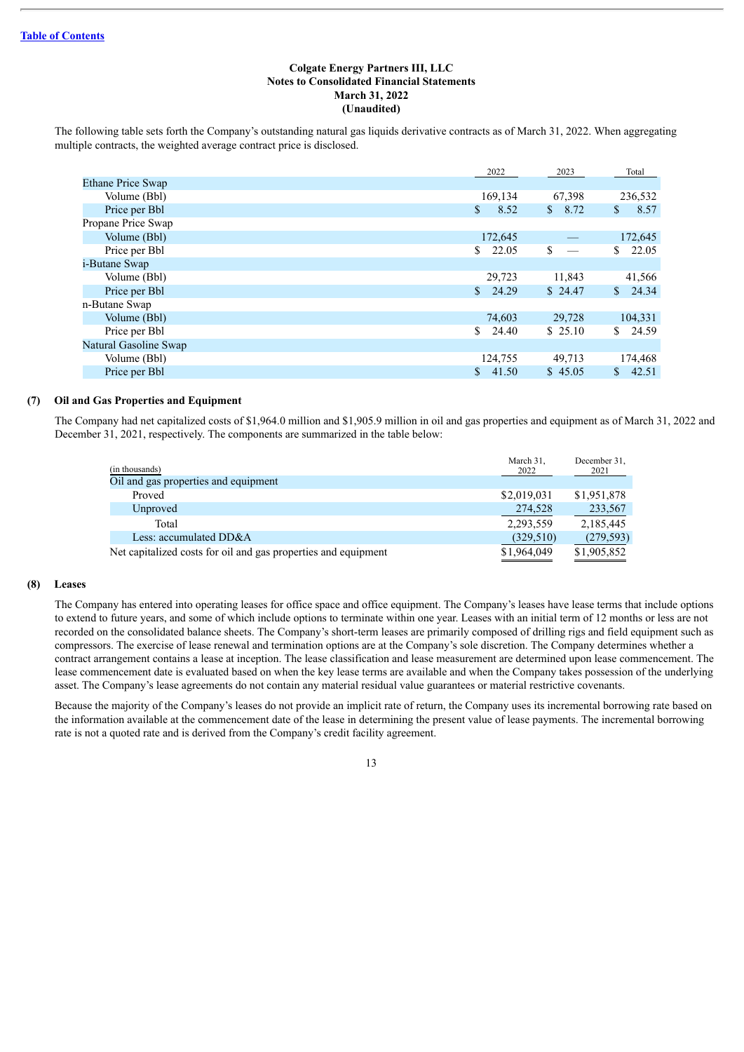The following table sets forth the Company's outstanding natural gas liquids derivative contracts as of March 31, 2022. When aggregating multiple contracts, the weighted average contract price is disclosed.

|                          | 2022        | 2023       | Total       |
|--------------------------|-------------|------------|-------------|
| <b>Ethane Price Swap</b> |             |            |             |
| Volume (Bbl)             | 169,134     | 67,398     | 236,532     |
| Price per Bbl            | 8.52<br>\$  | 8.72<br>S. | 8.57<br>\$  |
| Propane Price Swap       |             |            |             |
| Volume (Bbl)             | 172,645     |            | 172,645     |
| Price per Bbl            | 22.05<br>\$ | \$         | 22.05<br>S. |
| <i>i</i> -Butane Swap    |             |            |             |
| Volume (Bbl)             | 29,723      | 11,843     | 41,566      |
| Price per Bbl            | 24.29<br>S. | \$24.47    | 24.34<br>S. |
| n-Butane Swap            |             |            |             |
| Volume (Bbl)             | 74,603      | 29,728     | 104,331     |
| Price per Bbl            | 24.40<br>S. | \$25.10    | 24.59<br>S. |
| Natural Gasoline Swap    |             |            |             |
| Volume (Bbl)             | 124,755     | 49,713     | 174,468     |
| Price per Bbl            | 41.50<br>S. | \$45.05    | 42.51<br>S. |

## **(7) Oil and Gas Properties and Equipment**

The Company had net capitalized costs of \$1,964.0 million and \$1,905.9 million in oil and gas properties and equipment as of March 31, 2022 and December 31, 2021, respectively. The components are summarized in the table below:

| Oil and gas properties and equipment<br>\$2,019,031<br>\$1,951,878<br>Proved                 | December 31.<br>2021 |
|----------------------------------------------------------------------------------------------|----------------------|
|                                                                                              |                      |
|                                                                                              |                      |
| 274,528<br>Unproved                                                                          | 233,567              |
| 2,185,445<br>2,293,559<br>Total                                                              |                      |
| Less: accumulated DD&A<br>(329, 510)                                                         | (279, 593)           |
| \$1,905,852<br>Net capitalized costs for oil and gas properties and equipment<br>\$1,964,049 |                      |

#### **(8) Leases**

The Company has entered into operating leases for office space and office equipment. The Company's leases have lease terms that include options to extend to future years, and some of which include options to terminate within one year. Leases with an initial term of 12 months or less are not recorded on the consolidated balance sheets. The Company's short-term leases are primarily composed of drilling rigs and field equipment such as compressors. The exercise of lease renewal and termination options are at the Company's sole discretion. The Company determines whether a contract arrangement contains a lease at inception. The lease classification and lease measurement are determined upon lease commencement. The lease commencement date is evaluated based on when the key lease terms are available and when the Company takes possession of the underlying asset. The Company's lease agreements do not contain any material residual value guarantees or material restrictive covenants.

Because the majority of the Company's leases do not provide an implicit rate of return, the Company uses its incremental borrowing rate based on the information available at the commencement date of the lease in determining the present value of lease payments. The incremental borrowing rate is not a quoted rate and is derived from the Company's credit facility agreement.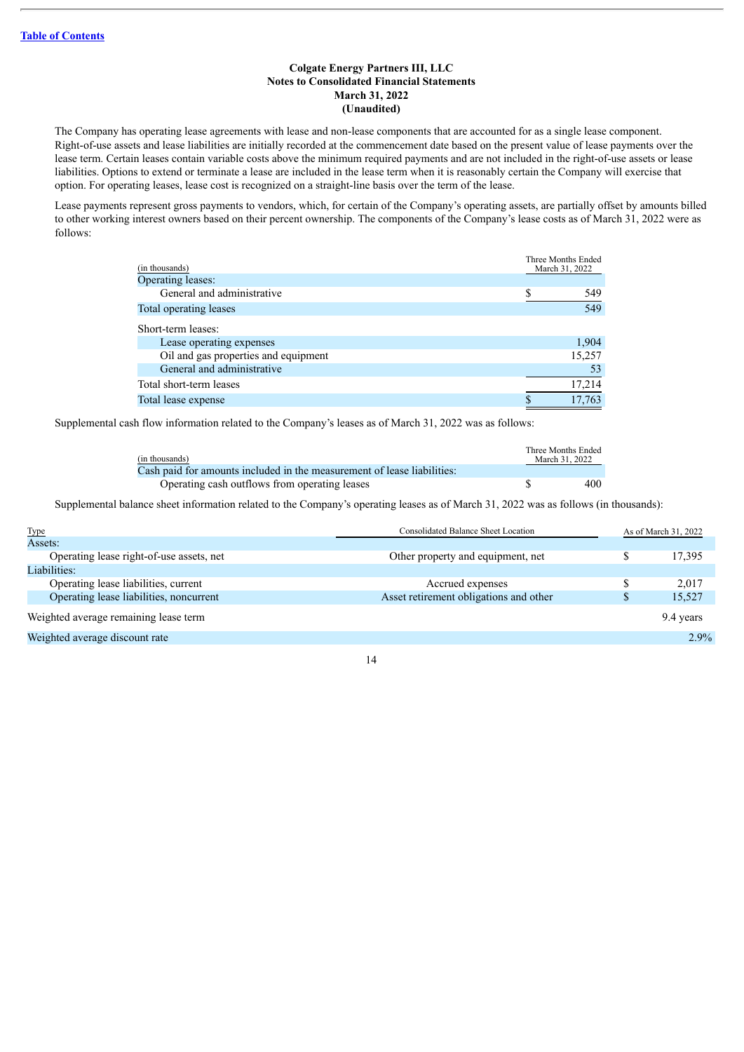The Company has operating lease agreements with lease and non-lease components that are accounted for as a single lease component. Right-of-use assets and lease liabilities are initially recorded at the commencement date based on the present value of lease payments over the lease term. Certain leases contain variable costs above the minimum required payments and are not included in the right-of-use assets or lease liabilities. Options to extend or terminate a lease are included in the lease term when it is reasonably certain the Company will exercise that option. For operating leases, lease cost is recognized on a straight-line basis over the term of the lease.

Lease payments represent gross payments to vendors, which, for certain of the Company's operating assets, are partially offset by amounts billed to other working interest owners based on their percent ownership. The components of the Company's lease costs as of March 31, 2022 were as follows:

| (in thousands)                       | Three Months Ended<br>March 31, 2022 |        |
|--------------------------------------|--------------------------------------|--------|
| Operating leases:                    |                                      |        |
| General and administrative           |                                      | 549    |
| Total operating leases               |                                      | 549    |
| Short-term leases:                   |                                      |        |
| Lease operating expenses             |                                      | 1,904  |
| Oil and gas properties and equipment |                                      | 15,257 |
| General and administrative           |                                      | 53     |
| Total short-term leases              |                                      | 17,214 |
| Total lease expense                  |                                      | 17,763 |

Supplemental cash flow information related to the Company's leases as of March 31, 2022 was as follows:

| (in thousands)                                                          | Three Months Ended<br>March 31, 2022 |
|-------------------------------------------------------------------------|--------------------------------------|
| Cash paid for amounts included in the measurement of lease liabilities: |                                      |
| Operating cash outflows from operating leases                           | 400                                  |

Supplemental balance sheet information related to the Company's operating leases as of March 31, 2022 was as follows (in thousands):

| <b>Type</b>                              | <b>Consolidated Balance Sheet Location</b> | As of March 31, 2022 |
|------------------------------------------|--------------------------------------------|----------------------|
| Assets:                                  |                                            |                      |
| Operating lease right-of-use assets, net | Other property and equipment, net          | 17,395               |
| Liabilities:                             |                                            |                      |
| Operating lease liabilities, current     | Accrued expenses                           | 2.017                |
| Operating lease liabilities, noncurrent  | Asset retirement obligations and other     | 15,527               |
| Weighted average remaining lease term    |                                            | 9.4 years            |
| Weighted average discount rate           |                                            | $2.9\%$              |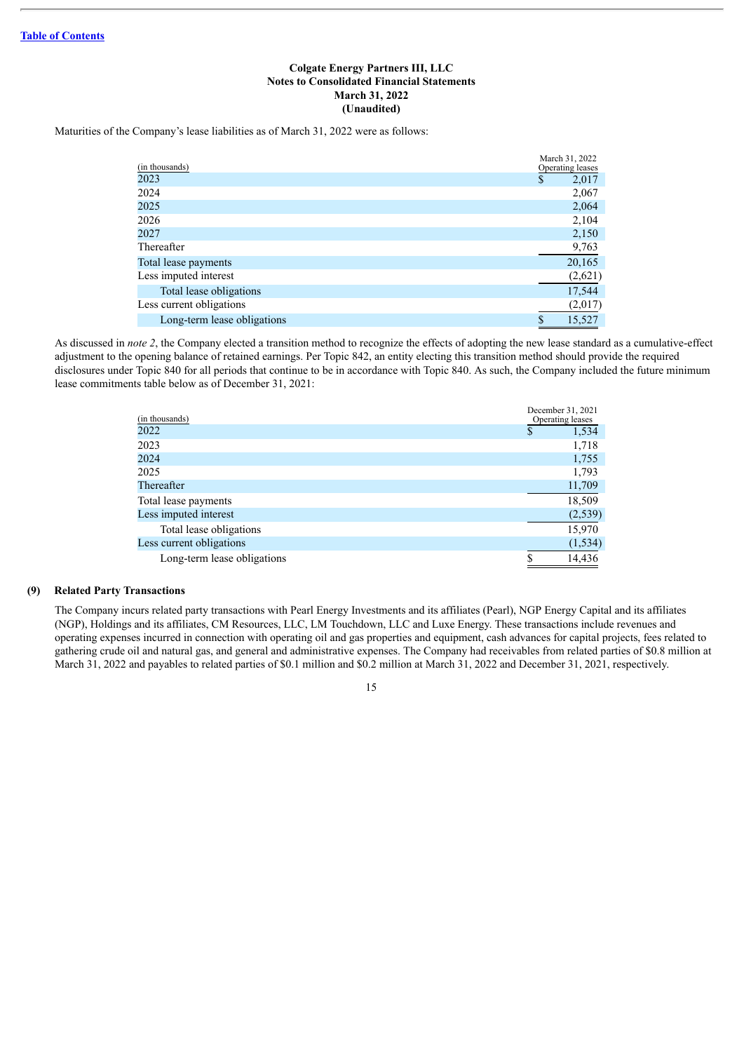Maturities of the Company's lease liabilities as of March 31, 2022 were as follows:

| (in thousands)              | March 31, 2022<br>Operating leases |
|-----------------------------|------------------------------------|
| 2023                        | \$<br>2,017                        |
| 2024                        | 2,067                              |
| 2025                        | 2,064                              |
| 2026                        | 2,104                              |
| 2027                        | 2,150                              |
| Thereafter                  | 9,763                              |
| Total lease payments        | 20,165                             |
| Less imputed interest       | (2,621)                            |
| Total lease obligations     | 17,544                             |
| Less current obligations    | (2,017)                            |
| Long-term lease obligations | \$<br>15.527                       |

As discussed in *note 2*, the Company elected a transition method to recognize the effects of adopting the new lease standard as a cumulative-effect adjustment to the opening balance of retained earnings. Per Topic 842, an entity electing this transition method should provide the required disclosures under Topic 840 for all periods that continue to be in accordance with Topic 840. As such, the Company included the future minimum lease commitments table below as of December 31, 2021:

| (in thousands)              | December 31, 2021<br>Operating leases |
|-----------------------------|---------------------------------------|
| 2022                        | 1,534<br>S                            |
| 2023                        | 1,718                                 |
| 2024                        | 1,755                                 |
| 2025                        | 1,793                                 |
| Thereafter                  | 11,709                                |
| Total lease payments        | 18,509                                |
| Less imputed interest       | (2, 539)                              |
| Total lease obligations     | 15,970                                |
| Less current obligations    | (1, 534)                              |
| Long-term lease obligations | \$<br>14.436                          |

## **(9) Related Party Transactions**

The Company incurs related party transactions with Pearl Energy Investments and its affiliates (Pearl), NGP Energy Capital and its affiliates (NGP), Holdings and its affiliates, CM Resources, LLC, LM Touchdown, LLC and Luxe Energy. These transactions include revenues and operating expenses incurred in connection with operating oil and gas properties and equipment, cash advances for capital projects, fees related to gathering crude oil and natural gas, and general and administrative expenses. The Company had receivables from related parties of \$0.8 million at March 31, 2022 and payables to related parties of \$0.1 million and \$0.2 million at March 31, 2022 and December 31, 2021, respectively.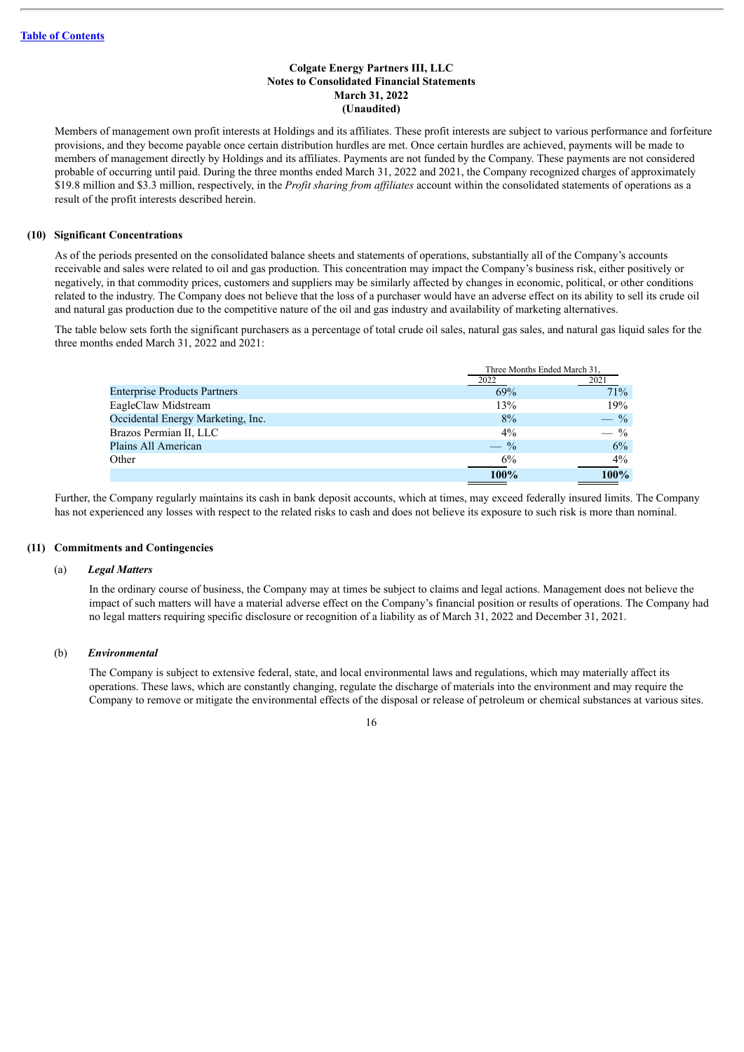Members of management own profit interests at Holdings and its affiliates. These profit interests are subject to various performance and forfeiture provisions, and they become payable once certain distribution hurdles are met. Once certain hurdles are achieved, payments will be made to members of management directly by Holdings and its affiliates. Payments are not funded by the Company. These payments are not considered probable of occurring until paid. During the three months ended March 31, 2022 and 2021, the Company recognized charges of approximately \$19.8 million and \$3.3 million, respectively, in the *Profit sharing from af iliates* account within the consolidated statements of operations as a result of the profit interests described herein.

#### **(10) Significant Concentrations**

As of the periods presented on the consolidated balance sheets and statements of operations, substantially all of the Company's accounts receivable and sales were related to oil and gas production. This concentration may impact the Company's business risk, either positively or negatively, in that commodity prices, customers and suppliers may be similarly affected by changes in economic, political, or other conditions related to the industry. The Company does not believe that the loss of a purchaser would have an adverse effect on its ability to sell its crude oil and natural gas production due to the competitive nature of the oil and gas industry and availability of marketing alternatives.

The table below sets forth the significant purchasers as a percentage of total crude oil sales, natural gas sales, and natural gas liquid sales for the three months ended March 31, 2022 and 2021:

|                                     | Three Months Ended March 31. |       |
|-------------------------------------|------------------------------|-------|
|                                     | 2022                         | 2021  |
| <b>Enterprise Products Partners</b> | 69%                          | 71%   |
| EagleClaw Midstream                 | 13%                          | 19%   |
| Occidental Energy Marketing, Inc.   | 8%                           | $-$ % |
| Brazos Permian II, LLC              | 4%                           | $-$ % |
| Plains All American                 | $-$ %                        | 6%    |
| Other                               | 6%                           | 4%    |
|                                     | 100%                         | 100%  |

Further, the Company regularly maintains its cash in bank deposit accounts, which at times, may exceed federally insured limits. The Company has not experienced any losses with respect to the related risks to cash and does not believe its exposure to such risk is more than nominal.

#### **(11) Commitments and Contingencies**

#### (a) *Legal Matters*

In the ordinary course of business, the Company may at times be subject to claims and legal actions. Management does not believe the impact of such matters will have a material adverse effect on the Company's financial position or results of operations. The Company had no legal matters requiring specific disclosure or recognition of a liability as of March 31, 2022 and December 31, 2021.

## (b) *Environmental*

The Company is subject to extensive federal, state, and local environmental laws and regulations, which may materially affect its operations. These laws, which are constantly changing, regulate the discharge of materials into the environment and may require the Company to remove or mitigate the environmental effects of the disposal or release of petroleum or chemical substances at various sites.

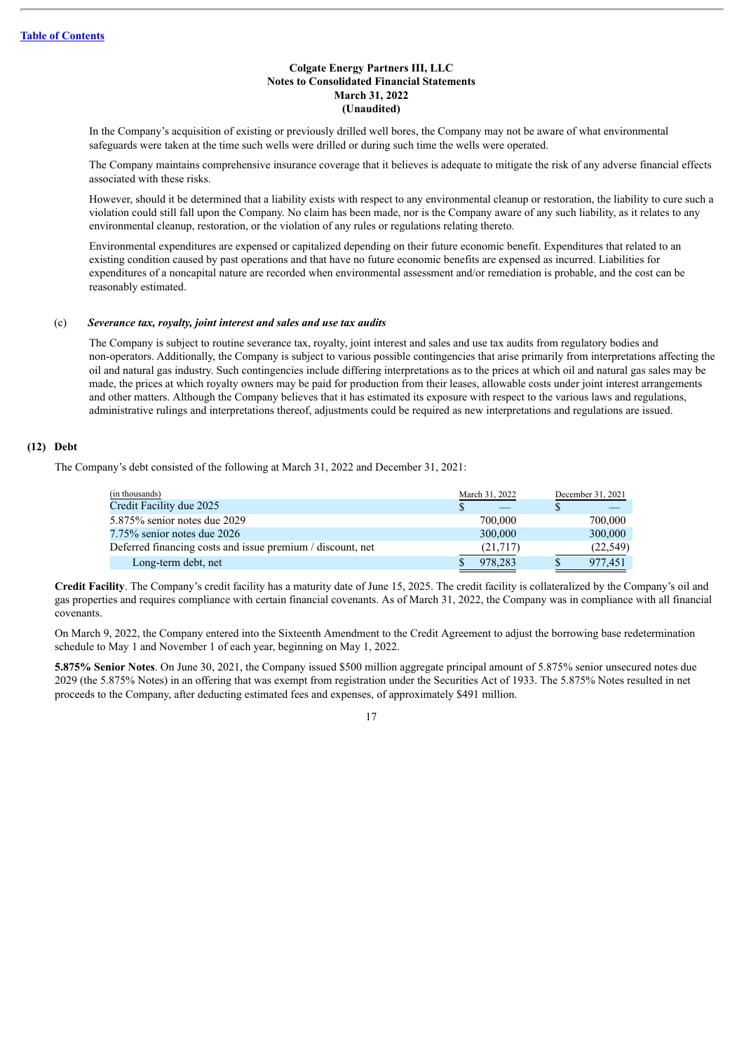In the Company's acquisition of existing or previously drilled well bores, the Company may not be aware of what environmental safeguards were taken at the time such wells were drilled or during such time the wells were operated.

The Company maintains comprehensive insurance coverage that it believes is adequate to mitigate the risk of any adverse financial effects associated with these risks.

However, should it be determined that a liability exists with respect to any environmental cleanup or restoration, the liability to cure such a violation could still fall upon the Company. No claim has been made, nor is the Company aware of any such liability, as it relates to any environmental cleanup, restoration, or the violation of any rules or regulations relating thereto.

Environmental expenditures are expensed or capitalized depending on their future economic benefit. Expenditures that related to an existing condition caused by past operations and that have no future economic benefits are expensed as incurred. Liabilities for expenditures of a noncapital nature are recorded when environmental assessment and/or remediation is probable, and the cost can be reasonably estimated.

## (c) *Severance tax, royalty, joint interest and sales and use tax audits*

The Company is subject to routine severance tax, royalty, joint interest and sales and use tax audits from regulatory bodies and non-operators. Additionally, the Company is subject to various possible contingencies that arise primarily from interpretations affecting the oil and natural gas industry. Such contingencies include differing interpretations as to the prices at which oil and natural gas sales may be made, the prices at which royalty owners may be paid for production from their leases, allowable costs under joint interest arrangements and other matters. Although the Company believes that it has estimated its exposure with respect to the various laws and regulations, administrative rulings and interpretations thereof, adjustments could be required as new interpretations and regulations are issued.

## **(12) Debt**

The Company's debt consisted of the following at March 31, 2022 and December 31, 2021:

| March 31, 2022 | December 31, 2021 |
|----------------|-------------------|
|                |                   |
| 700,000        | 700,000           |
| 300,000        | 300,000           |
| (21,717)       | (22, 549)         |
| 978.283        | 977,451           |
|                |                   |

**Credit Facility**. The Company's credit facility has a maturity date of June 15, 2025. The credit facility is collateralized by the Company's oil and gas properties and requires compliance with certain financial covenants. As of March 31, 2022, the Company was in compliance with all financial covenants.

On March 9, 2022, the Company entered into the Sixteenth Amendment to the Credit Agreement to adjust the borrowing base redetermination schedule to May 1 and November 1 of each year, beginning on May 1, 2022.

**5.875% Senior Notes**. On June 30, 2021, the Company issued \$500 million aggregate principal amount of 5.875% senior unsecured notes due 2029 (the 5.875% Notes) in an offering that was exempt from registration under the Securities Act of 1933. The 5.875% Notes resulted in net proceeds to the Company, after deducting estimated fees and expenses, of approximately \$491 million.

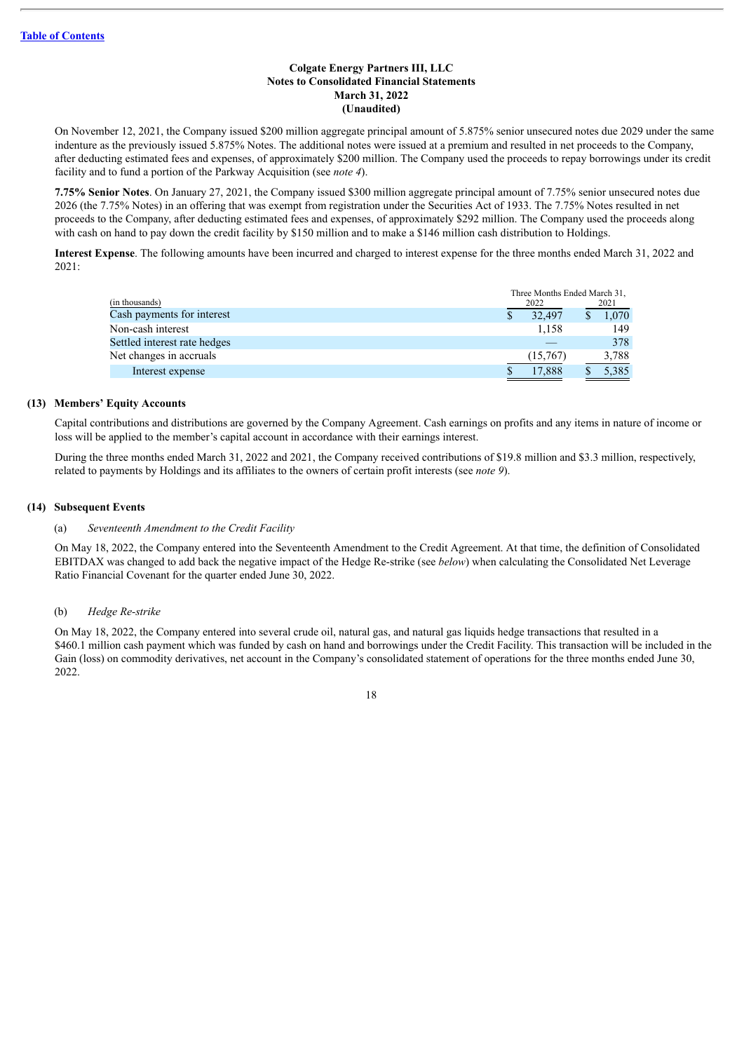On November 12, 2021, the Company issued \$200 million aggregate principal amount of 5.875% senior unsecured notes due 2029 under the same indenture as the previously issued 5.875% Notes. The additional notes were issued at a premium and resulted in net proceeds to the Company, after deducting estimated fees and expenses, of approximately \$200 million. The Company used the proceeds to repay borrowings under its credit facility and to fund a portion of the Parkway Acquisition (see *note 4*).

**7.75% Senior Notes**. On January 27, 2021, the Company issued \$300 million aggregate principal amount of 7.75% senior unsecured notes due 2026 (the 7.75% Notes) in an offering that was exempt from registration under the Securities Act of 1933. The 7.75% Notes resulted in net proceeds to the Company, after deducting estimated fees and expenses, of approximately \$292 million. The Company used the proceeds along with cash on hand to pay down the credit facility by \$150 million and to make a \$146 million cash distribution to Holdings.

**Interest Expense**. The following amounts have been incurred and charged to interest expense for the three months ended March 31, 2022 and 2021:

|                              | Three Months Ended March 31, |  |       |
|------------------------------|------------------------------|--|-------|
| (in thousands)               | 2022                         |  | 2021  |
| Cash payments for interest   | 32.497                       |  | 1.070 |
| Non-cash interest            | 1.158                        |  | 149   |
| Settled interest rate hedges |                              |  | 378   |
| Net changes in accruals      | (15,767)                     |  | 3,788 |
| Interest expense             | 17,888                       |  | 5,385 |

## **(13) Members' Equity Accounts**

Capital contributions and distributions are governed by the Company Agreement. Cash earnings on profits and any items in nature of income or loss will be applied to the member's capital account in accordance with their earnings interest.

During the three months ended March 31, 2022 and 2021, the Company received contributions of \$19.8 million and \$3.3 million, respectively, related to payments by Holdings and its affiliates to the owners of certain profit interests (see *note 9*).

## **(14) Subsequent Events**

## (a) *Seventeenth Amendment to the Credit Facility*

On May 18, 2022, the Company entered into the Seventeenth Amendment to the Credit Agreement. At that time, the definition of Consolidated EBITDAX was changed to add back the negative impact of the Hedge Re-strike (see *below*) when calculating the Consolidated Net Leverage Ratio Financial Covenant for the quarter ended June 30, 2022.

## (b) *Hedge Re-strike*

On May 18, 2022, the Company entered into several crude oil, natural gas, and natural gas liquids hedge transactions that resulted in a \$460.1 million cash payment which was funded by cash on hand and borrowings under the Credit Facility. This transaction will be included in the Gain (loss) on commodity derivatives, net account in the Company's consolidated statement of operations for the three months ended June 30, 2022.

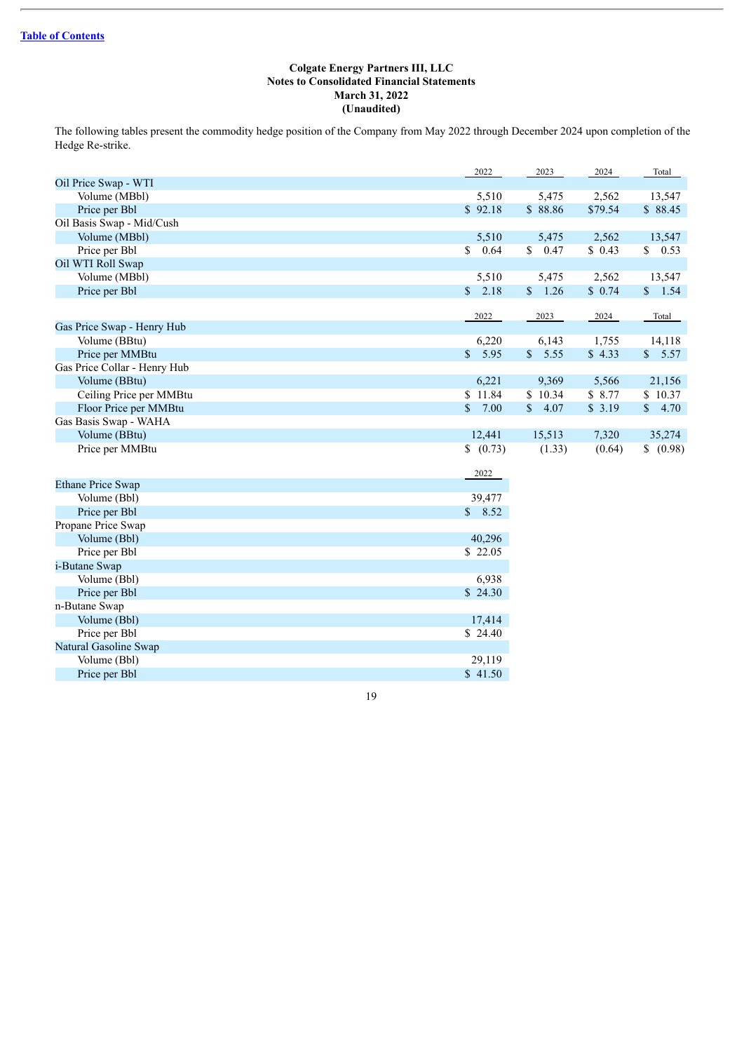The following tables present the commodity hedge position of the Company from May 2022 through December 2024 upon completion of the Hedge Re-strike.

|                              | 2022                 | 2023    | 2024    | Total     |
|------------------------------|----------------------|---------|---------|-----------|
| Oil Price Swap - WTI         |                      |         |         |           |
| Volume (MBbl)                | 5,510                | 5,475   | 2,562   | 13,547    |
| Price per Bbl                | \$92.18              | \$88.86 | \$79.54 | \$88.45   |
| Oil Basis Swap - Mid/Cush    |                      |         |         |           |
| Volume (MBbl)                | 5,510                | 5,475   | 2,562   | 13,547    |
| Price per Bbl                | $\mathbb{S}$<br>0.64 | \$0.47  | \$0.43  | \$ 0.53   |
| Oil WTI Roll Swap            |                      |         |         |           |
| Volume (MBbl)                | 5,510                | 5,475   | 2,562   | 13,547    |
| Price per Bbl                | \$2.18               | \$1.26  | \$0.74  | \$1.54    |
|                              | 2022                 | 2023    | 2024    | Total     |
| Gas Price Swap - Henry Hub   |                      |         |         |           |
| Volume (BBtu)                | 6,220                | 6,143   | 1,755   | 14,118    |
| Price per MMBtu              | \$5.95               | \$5.55  | \$4.33  | \$5.57    |
| Gas Price Collar - Henry Hub |                      |         |         |           |
| Volume (BBtu)                | 6,221                | 9,369   | 5,566   | 21,156    |
| Ceiling Price per MMBtu      | \$11.84              | \$10.34 | \$8.77  | \$10.37   |
| Floor Price per MMBtu        | $\mathbb{S}$<br>7.00 | \$4.07  | \$3.19  | \$4.70    |
| Gas Basis Swap - WAHA        |                      |         |         |           |
| Volume (BBtu)                | 12,441               | 15,513  | 7,320   | 35,274    |
| Price per MMBtu              | (0.73)               | (1.33)  | (0.64)  | \$ (0.98) |
|                              |                      |         |         |           |
|                              | 2022                 |         |         |           |
| <b>Ethane Price Swap</b>     |                      |         |         |           |
| Volume (Bbl)                 | 39,477               |         |         |           |
| Price per Bbl                | \$8.52               |         |         |           |
| Propane Price Swap           |                      |         |         |           |
| Volume (Bbl)                 | 40,296               |         |         |           |
| Price per Bbl                | \$22.05              |         |         |           |
| i-Butane Swap                |                      |         |         |           |
| Volume (Bbl)                 | 6,938                |         |         |           |
| Price per Bbl                | \$24.30              |         |         |           |
| n-Butane Swap                |                      |         |         |           |
| Volume (Bbl)                 | 17,414               |         |         |           |
| Price per Bbl                | \$24.40              |         |         |           |
| Natural Gasoline Swap        |                      |         |         |           |
| Volume (Bbl)                 | 29,119               |         |         |           |
| Price per Bbl                | \$41.50              |         |         |           |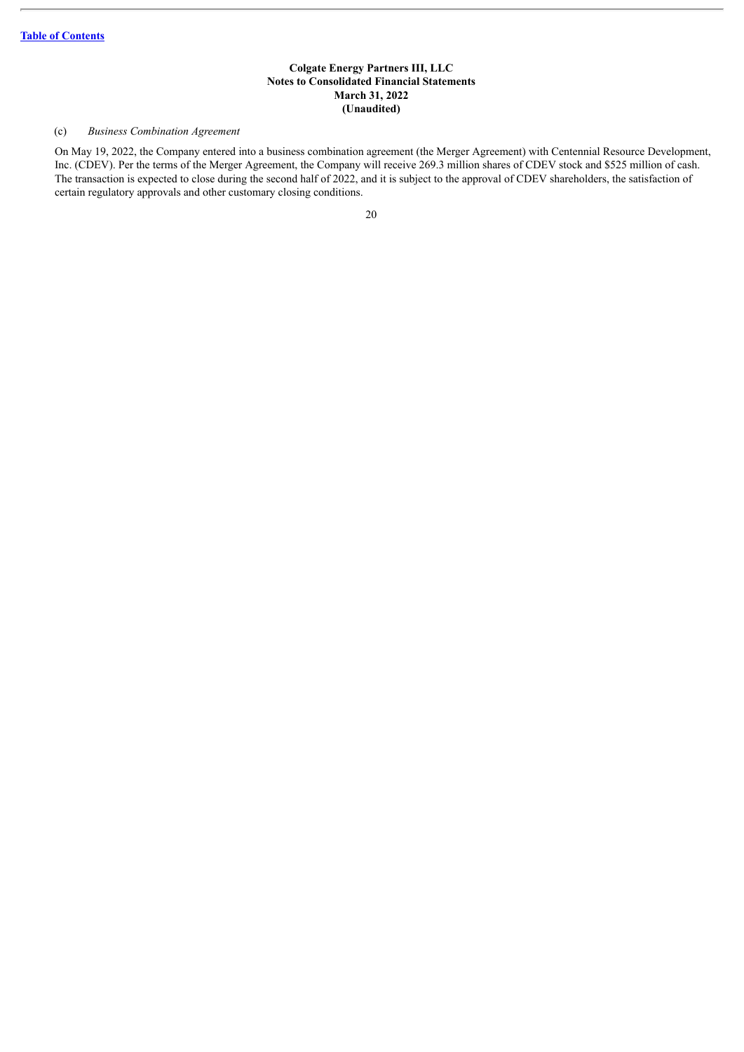## (c) *Business Combination Agreement*

On May 19, 2022, the Company entered into a business combination agreement (the Merger Agreement) with Centennial Resource Development, Inc. (CDEV). Per the terms of the Merger Agreement, the Company will receive 269.3 million shares of CDEV stock and \$525 million of cash. The transaction is expected to close during the second half of 2022, and it is subject to the approval of CDEV shareholders, the satisfaction of certain regulatory approvals and other customary closing conditions.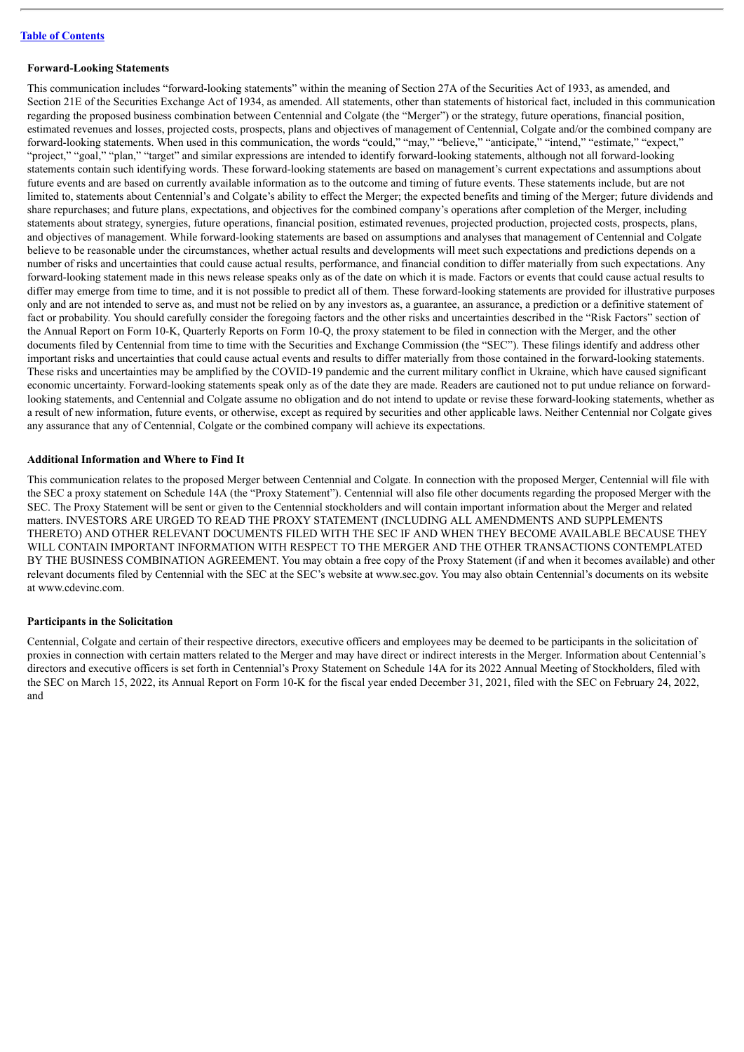## **Table of [Contents](#page-2-0)**

#### **Forward-Looking Statements**

This communication includes "forward-looking statements" within the meaning of Section 27A of the Securities Act of 1933, as amended, and Section 21E of the Securities Exchange Act of 1934, as amended. All statements, other than statements of historical fact, included in this communication regarding the proposed business combination between Centennial and Colgate (the "Merger") or the strategy, future operations, financial position, estimated revenues and losses, projected costs, prospects, plans and objectives of management of Centennial, Colgate and/or the combined company are forward-looking statements. When used in this communication, the words "could," "may," "believe," "anticipate," "intend," "estimate," "expect," "project," "goal," "plan," "target" and similar expressions are intended to identify forward-looking statements, although not all forward-looking statements contain such identifying words. These forward-looking statements are based on management's current expectations and assumptions about future events and are based on currently available information as to the outcome and timing of future events. These statements include, but are not limited to, statements about Centennial's and Colgate's ability to effect the Merger; the expected benefits and timing of the Merger; future dividends and share repurchases; and future plans, expectations, and objectives for the combined company's operations after completion of the Merger, including statements about strategy, synergies, future operations, financial position, estimated revenues, projected production, projected costs, prospects, plans, and objectives of management. While forward-looking statements are based on assumptions and analyses that management of Centennial and Colgate believe to be reasonable under the circumstances, whether actual results and developments will meet such expectations and predictions depends on a number of risks and uncertainties that could cause actual results, performance, and financial condition to differ materially from such expectations. Any forward-looking statement made in this news release speaks only as of the date on which it is made. Factors or events that could cause actual results to differ may emerge from time to time, and it is not possible to predict all of them. These forward-looking statements are provided for illustrative purposes only and are not intended to serve as, and must not be relied on by any investors as, a guarantee, an assurance, a prediction or a definitive statement of fact or probability. You should carefully consider the foregoing factors and the other risks and uncertainties described in the "Risk Factors" section of the Annual Report on Form 10-K, Quarterly Reports on Form 10-Q, the proxy statement to be filed in connection with the Merger, and the other documents filed by Centennial from time to time with the Securities and Exchange Commission (the "SEC"). These filings identify and address other important risks and uncertainties that could cause actual events and results to differ materially from those contained in the forward-looking statements. These risks and uncertainties may be amplified by the COVID-19 pandemic and the current military conflict in Ukraine, which have caused significant economic uncertainty. Forward-looking statements speak only as of the date they are made. Readers are cautioned not to put undue reliance on forwardlooking statements, and Centennial and Colgate assume no obligation and do not intend to update or revise these forward-looking statements, whether as a result of new information, future events, or otherwise, except as required by securities and other applicable laws. Neither Centennial nor Colgate gives any assurance that any of Centennial, Colgate or the combined company will achieve its expectations.

## **Additional Information and Where to Find It**

This communication relates to the proposed Merger between Centennial and Colgate. In connection with the proposed Merger, Centennial will file with the SEC a proxy statement on Schedule 14A (the "Proxy Statement"). Centennial will also file other documents regarding the proposed Merger with the SEC. The Proxy Statement will be sent or given to the Centennial stockholders and will contain important information about the Merger and related matters. INVESTORS ARE URGED TO READ THE PROXY STATEMENT (INCLUDING ALL AMENDMENTS AND SUPPLEMENTS THERETO) AND OTHER RELEVANT DOCUMENTS FILED WITH THE SEC IF AND WHEN THEY BECOME AVAILABLE BECAUSE THEY WILL CONTAIN IMPORTANT INFORMATION WITH RESPECT TO THE MERGER AND THE OTHER TRANSACTIONS CONTEMPLATED BY THE BUSINESS COMBINATION AGREEMENT. You may obtain a free copy of the Proxy Statement (if and when it becomes available) and other relevant documents filed by Centennial with the SEC at the SEC's website at www.sec.gov. You may also obtain Centennial's documents on its website at www.cdevinc.com.

#### **Participants in the Solicitation**

Centennial, Colgate and certain of their respective directors, executive officers and employees may be deemed to be participants in the solicitation of proxies in connection with certain matters related to the Merger and may have direct or indirect interests in the Merger. Information about Centennial's directors and executive officers is set forth in Centennial's Proxy Statement on Schedule 14A for its 2022 Annual Meeting of Stockholders, filed with the SEC on March 15, 2022, its Annual Report on Form 10-K for the fiscal year ended December 31, 2021, filed with the SEC on February 24, 2022, and